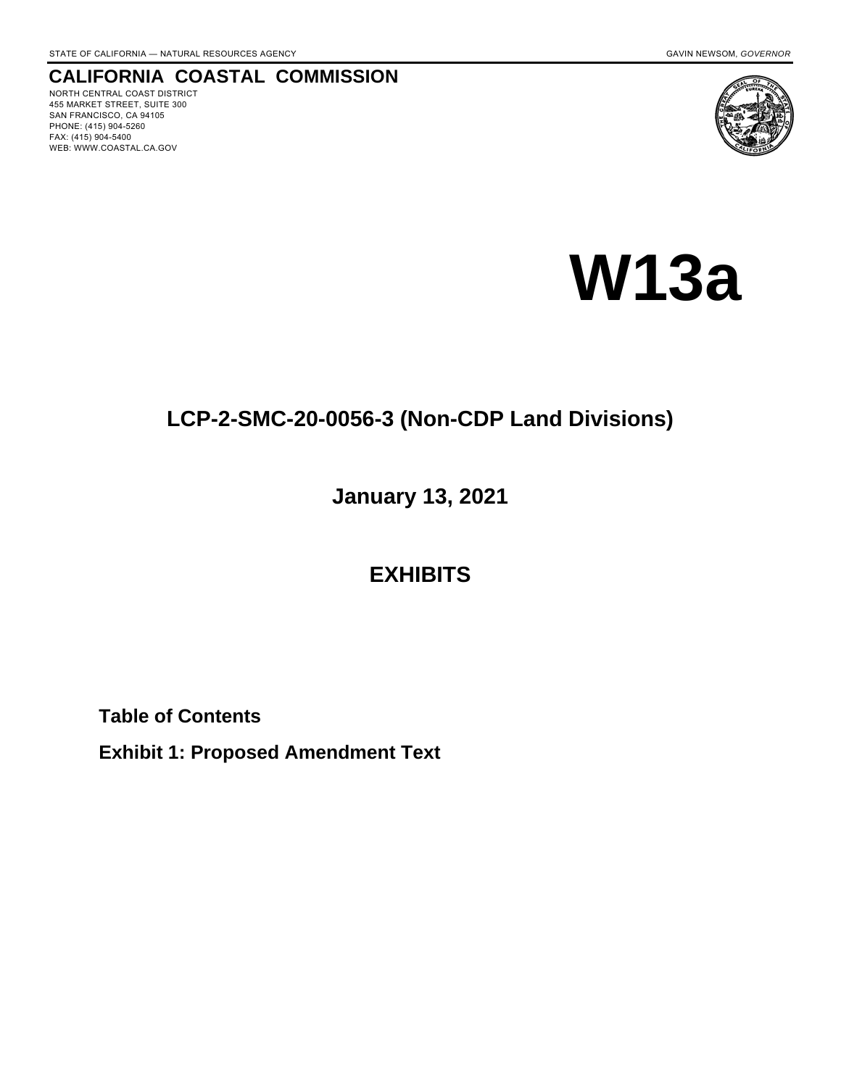# **CALIFORNIA COASTAL COMMISSION**

NORTH CENTRAL COAST DISTRICT 455 MARKET STREET, SUITE 300 SAN FRANCISCO, CA 94105 PHONE: (415) 904-5260 FAX: (415) 904-5400 WEB: WWW.COASTAL.CA.GOV



# **W13a**

# **LCP-2-SMC-20-0056-3 (Non-CDP Land Divisions)**

**January 13, 2021**

# **EXHIBITS**

**Table of Contents**

**Exhibit 1: Proposed Amendment Text**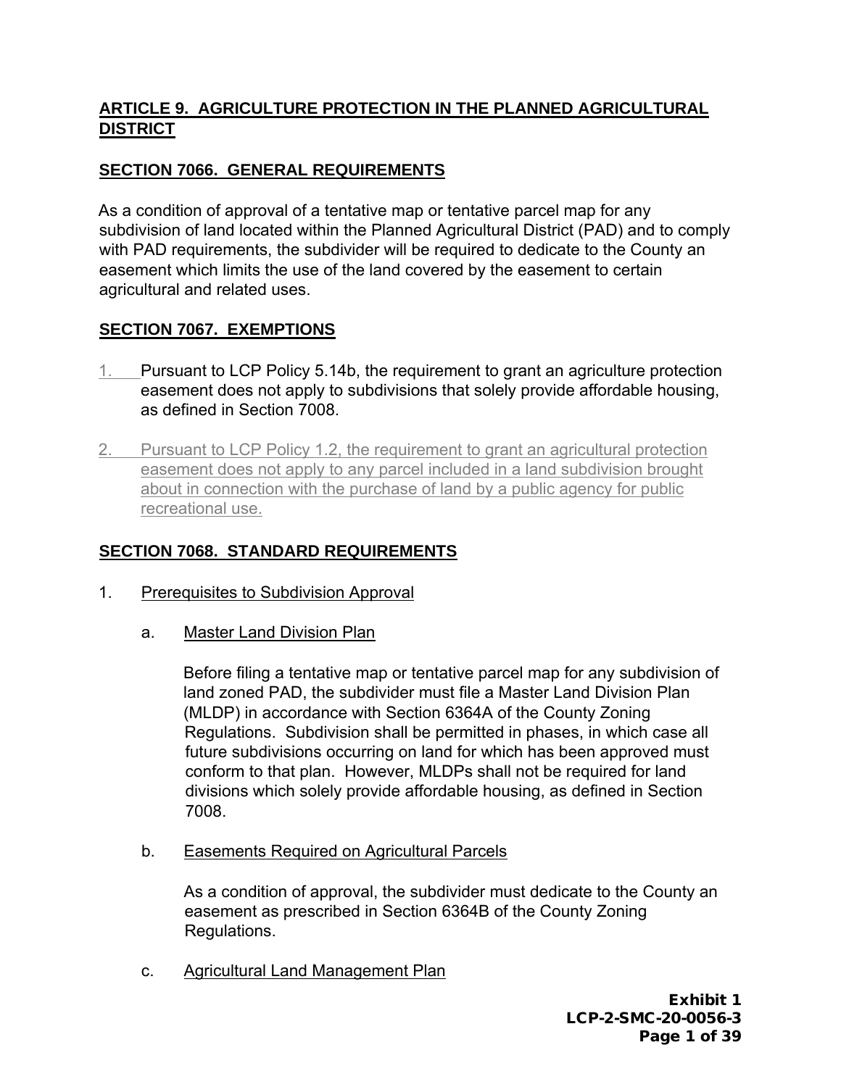# **ARTICLE 9. AGRICULTURE PROTECTION IN THE PLANNED AGRICULTURAL DISTRICT**

# **SECTION 7066. GENERAL REQUIREMENTS**

As a condition of approval of a tentative map or tentative parcel map for any subdivision of land located within the Planned Agricultural District (PAD) and to comply with PAD requirements, the subdivider will be required to dedicate to the County an easement which limits the use of the land covered by the easement to certain agricultural and related uses.

# **SECTION 7067. EXEMPTIONS**

- 1. Pursuant to LCP Policy 5.14b, the requirement to grant an agriculture protection easement does not apply to subdivisions that solely provide affordable housing, as defined in Section 7008.
- 2. Pursuant to LCP Policy 1.2, the requirement to grant an agricultural protection easement does not apply to any parcel included in a land subdivision brought about in connection with the purchase of land by a public agency for public recreational use.

# **SECTION 7068. STANDARD REQUIREMENTS**

- 1. Prerequisites to Subdivision Approval
	- a. Master Land Division Plan

 Before filing a tentative map or tentative parcel map for any subdivision of land zoned PAD, the subdivider must file a Master Land Division Plan (MLDP) in accordance with Section 6364A of the County Zoning Regulations. Subdivision shall be permitted in phases, in which case all future subdivisions occurring on land for which has been approved must conform to that plan. However, MLDPs shall not be required for land divisions which solely provide affordable housing, as defined in Section 7008.

b. Easements Required on Agricultural Parcels

 As a condition of approval, the subdivider must dedicate to the County an easement as prescribed in Section 6364B of the County Zoning Regulations.

c. Agricultural Land Management Plan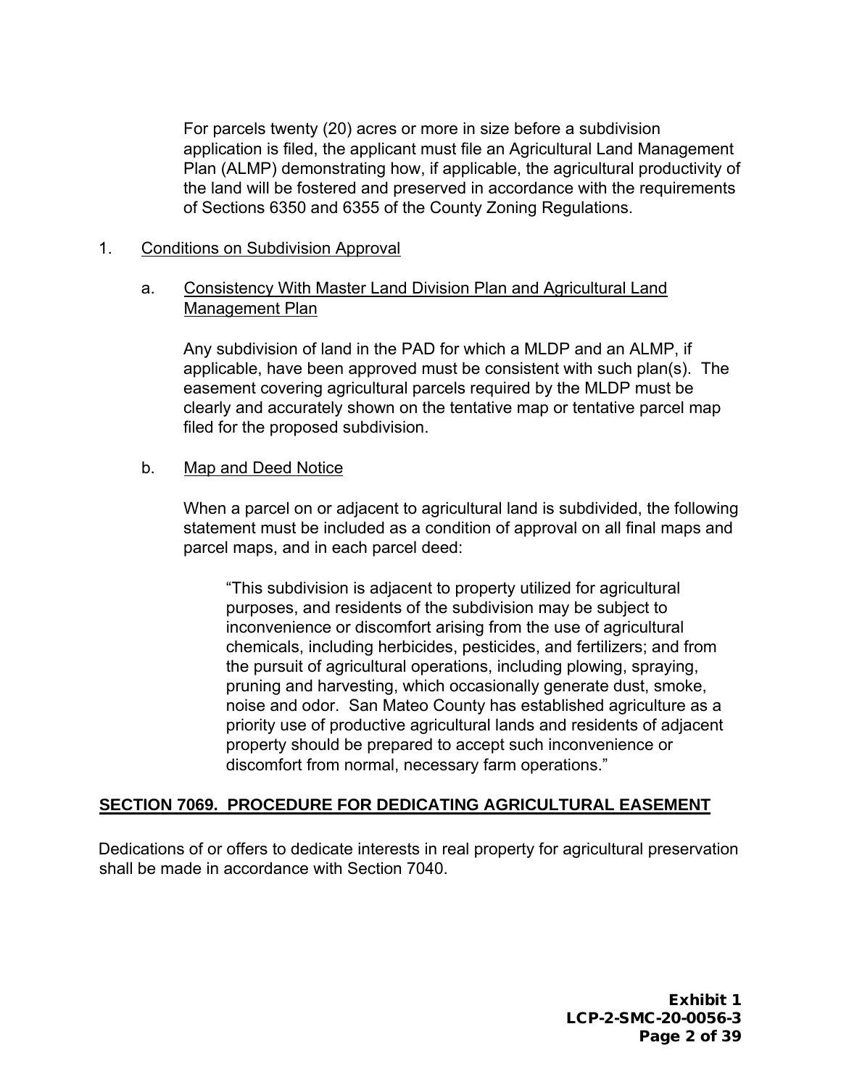For parcels twenty (20) acres or more in size before a subdivision application is filed, the applicant must file an Agricultural Land Management Plan (ALMP) demonstrating how, if applicable, the agricultural productivity of the land will be fostered and preserved in accordance with the requirements of Sections 6350 and 6355 of the County Zoning Regulations.

#### 1. Conditions on Subdivision Approval

#### a. Consistency With Master Land Division Plan and Agricultural Land Management Plan

Any subdivision of land in the PAD for which a MLDP and an ALMP, if applicable, have been approved must be consistent with such plan(s). The easement covering agricultural parcels required by the MLDP must be clearly and accurately shown on the tentative map or tentative parcel map filed for the proposed subdivision.

#### b. Map and Deed Notice

When a parcel on or adjacent to agricultural land is subdivided, the following statement must be included as a condition of approval on all final maps and parcel maps, and in each parcel deed:

"This subdivision is adjacent to property utilized for agricultural purposes, and residents of the subdivision may be subject to inconvenience or discomfort arising from the use of agricultural chemicals, including herbicides, pesticides, and fertilizers; and from the pursuit of agricultural operations, including plowing, spraying, pruning and harvesting, which occasionally generate dust, smoke, noise and odor. San Mateo County has established agriculture as a priority use of productive agricultural lands and residents of adjacent property should be prepared to accept such inconvenience or discomfort from normal, necessary farm operations."

#### **SECTION 7069. PROCEDURE FOR DEDICATING AGRICULTURAL EASEMENT**

Dedications of or offers to dedicate interests in real property for agricultural preservation shall be made in accordance with Section 7040.

> Exhibit 1 LCP-2-SMC-20-0056-3 Page 2 of 39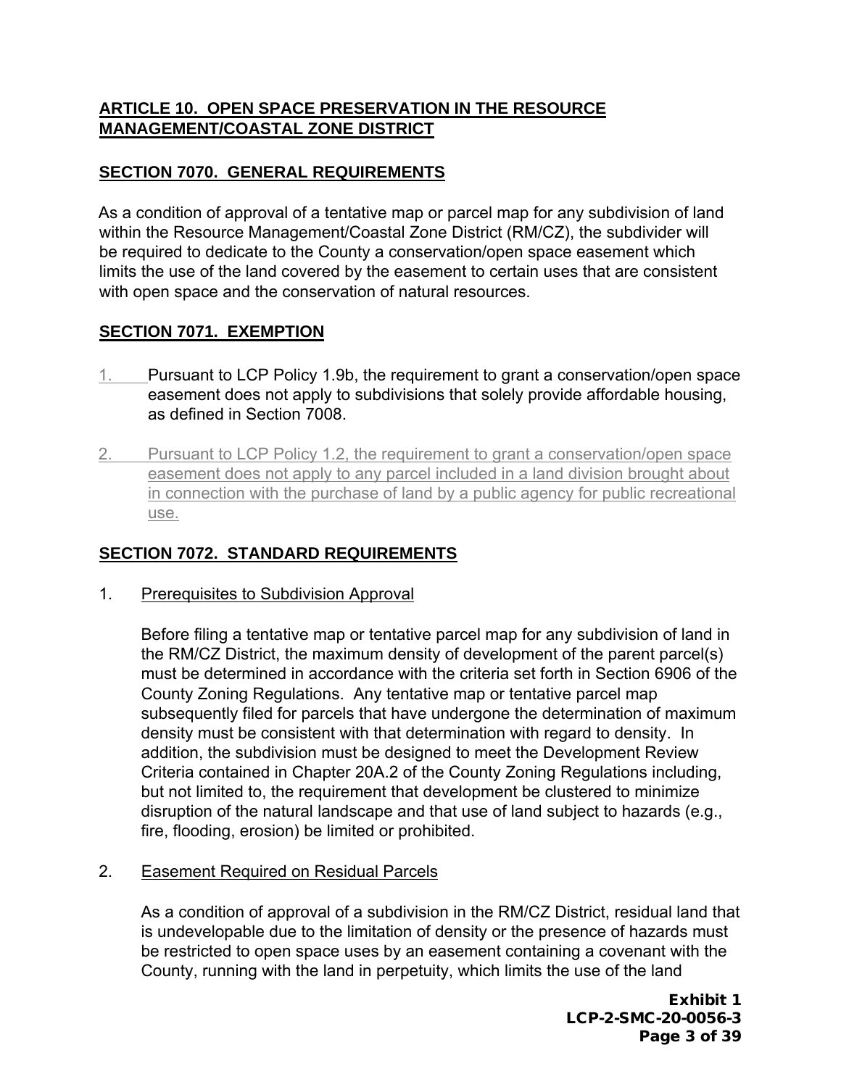# **ARTICLE 10. OPEN SPACE PRESERVATION IN THE RESOURCE MANAGEMENT/COASTAL ZONE DISTRICT**

# **SECTION 7070. GENERAL REQUIREMENTS**

As a condition of approval of a tentative map or parcel map for any subdivision of land within the Resource Management/Coastal Zone District (RM/CZ), the subdivider will be required to dedicate to the County a conservation/open space easement which limits the use of the land covered by the easement to certain uses that are consistent with open space and the conservation of natural resources.

#### **SECTION 7071. EXEMPTION**

- 1. Pursuant to LCP Policy 1.9b, the requirement to grant a conservation/open space easement does not apply to subdivisions that solely provide affordable housing, as defined in Section 7008.
- 2. Pursuant to LCP Policy 1.2, the requirement to grant a conservation/open space easement does not apply to any parcel included in a land division brought about in connection with the purchase of land by a public agency for public recreational use.

# **SECTION 7072. STANDARD REQUIREMENTS**

1. Prerequisites to Subdivision Approval

 Before filing a tentative map or tentative parcel map for any subdivision of land in the RM/CZ District, the maximum density of development of the parent parcel(s) must be determined in accordance with the criteria set forth in Section 6906 of the County Zoning Regulations. Any tentative map or tentative parcel map subsequently filed for parcels that have undergone the determination of maximum density must be consistent with that determination with regard to density. In addition, the subdivision must be designed to meet the Development Review Criteria contained in Chapter 20A.2 of the County Zoning Regulations including, but not limited to, the requirement that development be clustered to minimize disruption of the natural landscape and that use of land subject to hazards (e.g., fire, flooding, erosion) be limited or prohibited.

2. Easement Required on Residual Parcels

 As a condition of approval of a subdivision in the RM/CZ District, residual land that is undevelopable due to the limitation of density or the presence of hazards must be restricted to open space uses by an easement containing a covenant with the County, running with the land in perpetuity, which limits the use of the land

> Exhibit 1 LCP-2-SMC-20-0056-3 Page 3 of 39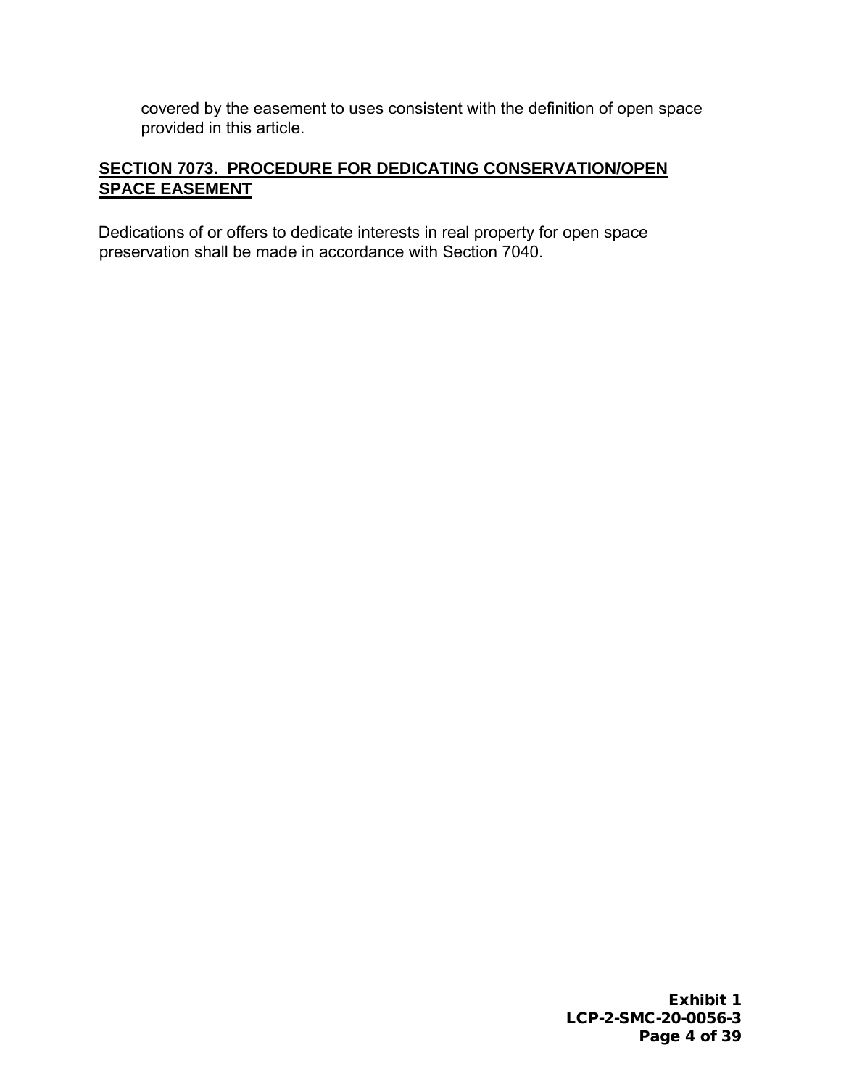covered by the easement to uses consistent with the definition of open space provided in this article.

# **SECTION 7073. PROCEDURE FOR DEDICATING CONSERVATION/OPEN SPACE EASEMENT**

Dedications of or offers to dedicate interests in real property for open space preservation shall be made in accordance with Section 7040.

> Exhibit 1 LCP-2-SMC-20-0056-3 Page 4 of 39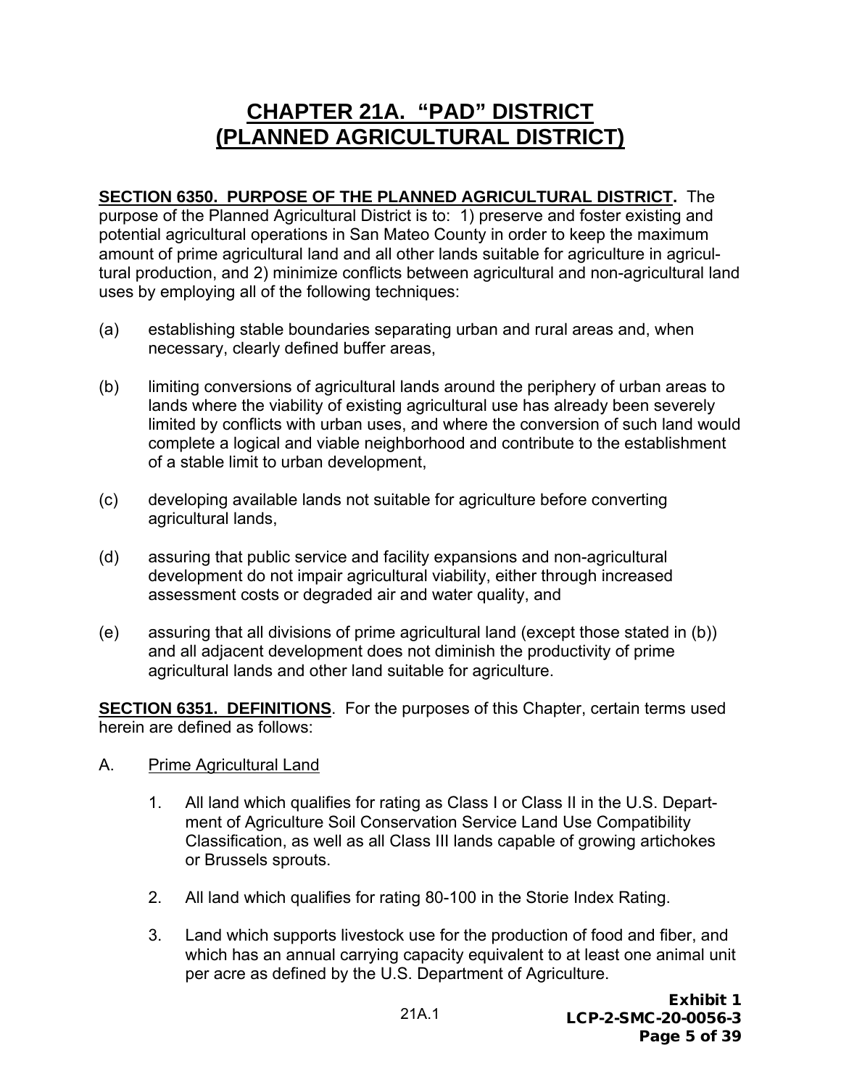# **CHAPTER 21A. "PAD" DISTRICT (PLANNED AGRICULTURAL DISTRICT)**

**SECTION 6350. PURPOSE OF THE PLANNED AGRICULTURAL DISTRICT.** The purpose of the Planned Agricultural District is to: 1) preserve and foster existing and potential agricultural operations in San Mateo County in order to keep the maximum amount of prime agricultural land and all other lands suitable for agriculture in agricultural production, and 2) minimize conflicts between agricultural and non-agricultural land uses by employing all of the following techniques:

- (a) establishing stable boundaries separating urban and rural areas and, when necessary, clearly defined buffer areas,
- (b) limiting conversions of agricultural lands around the periphery of urban areas to lands where the viability of existing agricultural use has already been severely limited by conflicts with urban uses, and where the conversion of such land would complete a logical and viable neighborhood and contribute to the establishment of a stable limit to urban development,
- (c) developing available lands not suitable for agriculture before converting agricultural lands,
- (d) assuring that public service and facility expansions and non-agricultural development do not impair agricultural viability, either through increased assessment costs or degraded air and water quality, and
- (e) assuring that all divisions of prime agricultural land (except those stated in (b)) and all adjacent development does not diminish the productivity of prime agricultural lands and other land suitable for agriculture.

**SECTION 6351. DEFINITIONS**. For the purposes of this Chapter, certain terms used herein are defined as follows:

- A. Prime Agricultural Land
	- 1. All land which qualifies for rating as Class I or Class II in the U.S. Department of Agriculture Soil Conservation Service Land Use Compatibility Classification, as well as all Class III lands capable of growing artichokes or Brussels sprouts.
	- 2. All land which qualifies for rating 80-100 in the Storie Index Rating.
	- 3. Land which supports livestock use for the production of food and fiber, and which has an annual carrying capacity equivalent to at least one animal unit per acre as defined by the U.S. Department of Agriculture.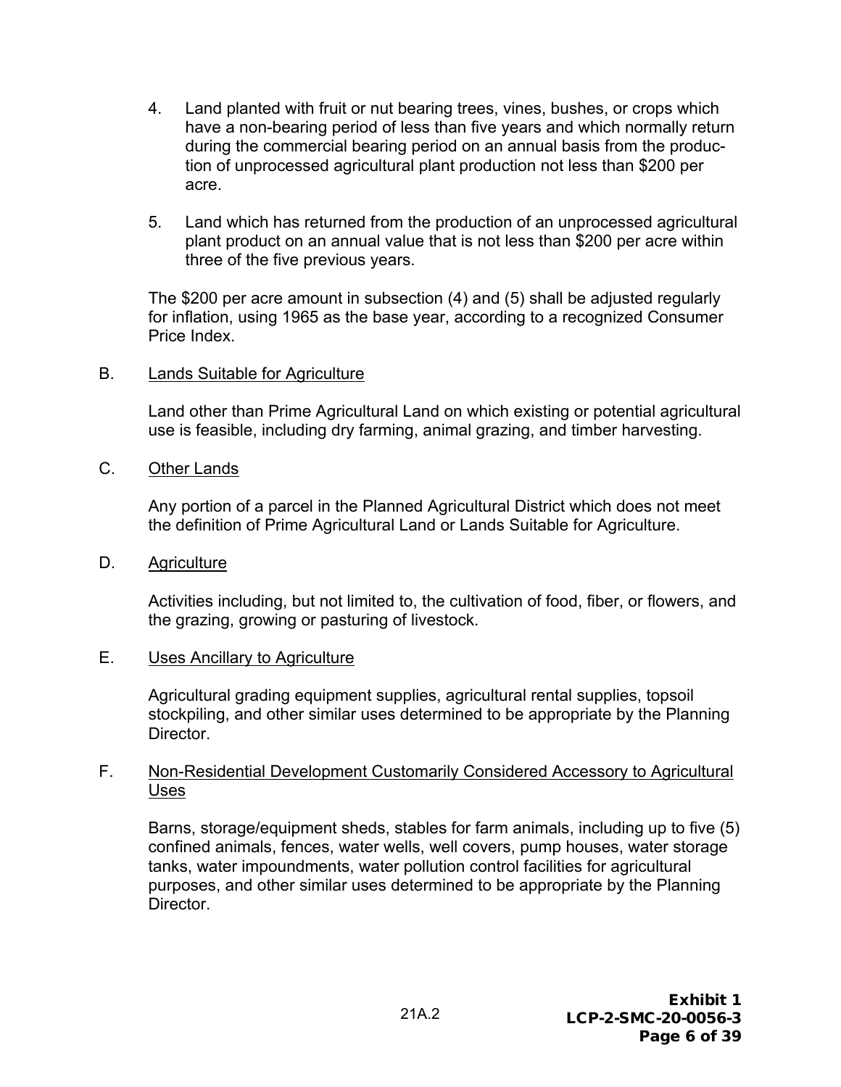- 4. Land planted with fruit or nut bearing trees, vines, bushes, or crops which have a non-bearing period of less than five years and which normally return during the commercial bearing period on an annual basis from the production of unprocessed agricultural plant production not less than \$200 per acre.
- 5. Land which has returned from the production of an unprocessed agricultural plant product on an annual value that is not less than \$200 per acre within three of the five previous years.

The \$200 per acre amount in subsection (4) and (5) shall be adjusted regularly for inflation, using 1965 as the base year, according to a recognized Consumer Price Index.

#### B. Lands Suitable for Agriculture

Land other than Prime Agricultural Land on which existing or potential agricultural use is feasible, including dry farming, animal grazing, and timber harvesting.

C. Other Lands

Any portion of a parcel in the Planned Agricultural District which does not meet the definition of Prime Agricultural Land or Lands Suitable for Agriculture.

D. Agriculture

Activities including, but not limited to, the cultivation of food, fiber, or flowers, and the grazing, growing or pasturing of livestock.

#### E. Uses Ancillary to Agriculture

Agricultural grading equipment supplies, agricultural rental supplies, topsoil stockpiling, and other similar uses determined to be appropriate by the Planning Director.

#### F. Non-Residential Development Customarily Considered Accessory to Agricultural Uses

Barns, storage/equipment sheds, stables for farm animals, including up to five (5) confined animals, fences, water wells, well covers, pump houses, water storage tanks, water impoundments, water pollution control facilities for agricultural purposes, and other similar uses determined to be appropriate by the Planning Director.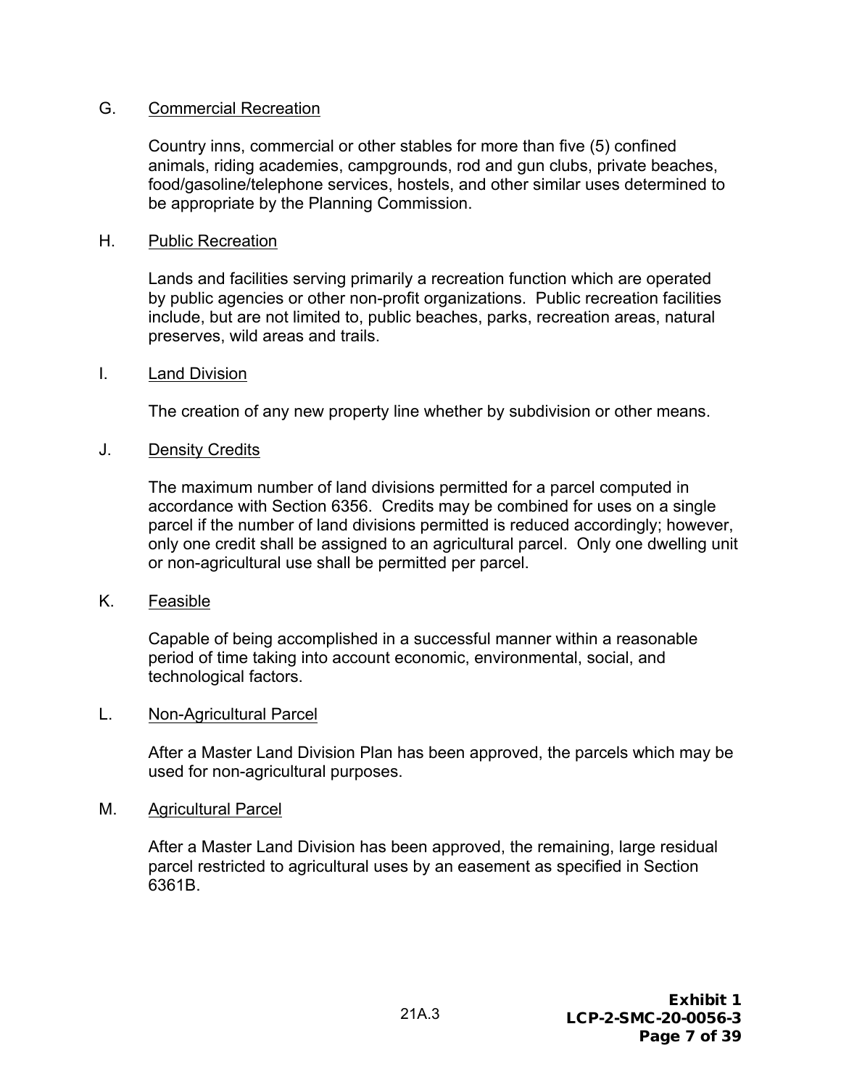#### G. Commercial Recreation

Country inns, commercial or other stables for more than five (5) confined animals, riding academies, campgrounds, rod and gun clubs, private beaches, food/gasoline/telephone services, hostels, and other similar uses determined to be appropriate by the Planning Commission.

#### H. Public Recreation

Lands and facilities serving primarily a recreation function which are operated by public agencies or other non-profit organizations. Public recreation facilities include, but are not limited to, public beaches, parks, recreation areas, natural preserves, wild areas and trails.

#### I. Land Division

The creation of any new property line whether by subdivision or other means.

#### J. Density Credits

The maximum number of land divisions permitted for a parcel computed in accordance with Section 6356. Credits may be combined for uses on a single parcel if the number of land divisions permitted is reduced accordingly; however, only one credit shall be assigned to an agricultural parcel. Only one dwelling unit or non-agricultural use shall be permitted per parcel.

#### K. Feasible

Capable of being accomplished in a successful manner within a reasonable period of time taking into account economic, environmental, social, and technological factors.

#### L. Non-Agricultural Parcel

After a Master Land Division Plan has been approved, the parcels which may be used for non-agricultural purposes.

#### M. Agricultural Parcel

After a Master Land Division has been approved, the remaining, large residual parcel restricted to agricultural uses by an easement as specified in Section 6361B.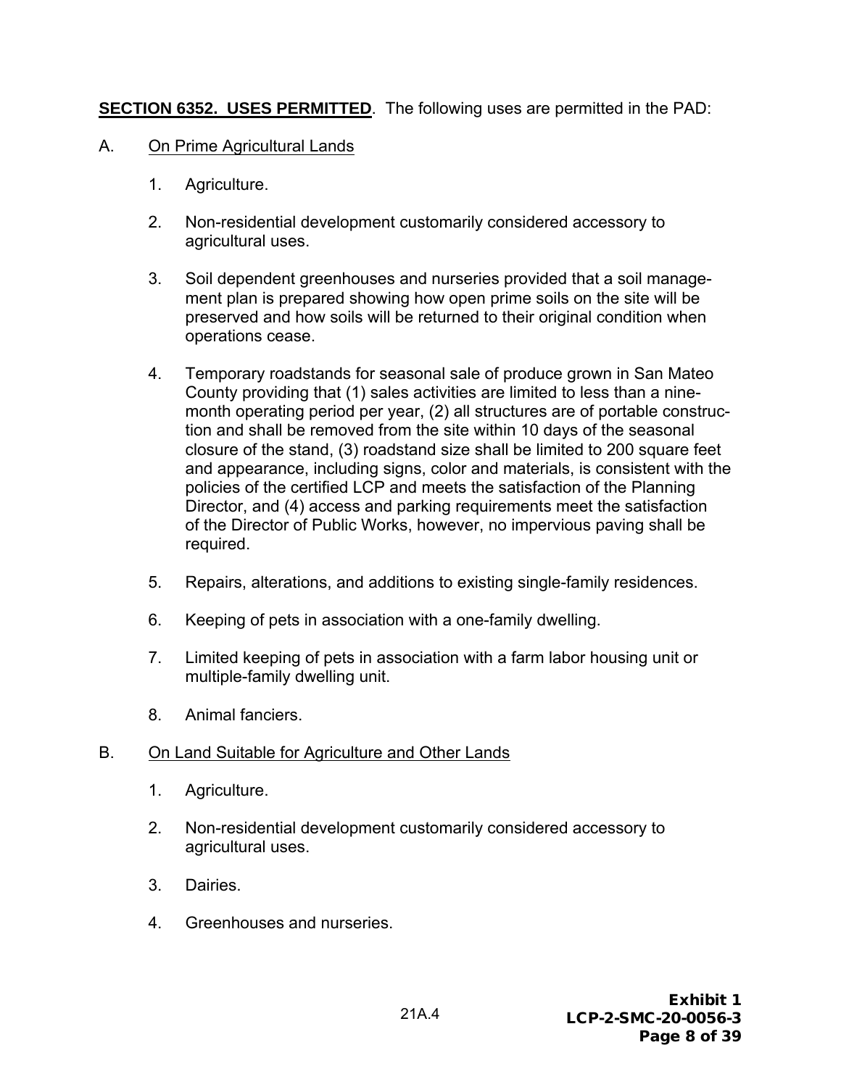# **SECTION 6352. USES PERMITTED**. The following uses are permitted in the PAD:

- A. On Prime Agricultural Lands
	- 1. Agriculture.
	- 2. Non-residential development customarily considered accessory to agricultural uses.
	- 3. Soil dependent greenhouses and nurseries provided that a soil management plan is prepared showing how open prime soils on the site will be preserved and how soils will be returned to their original condition when operations cease.
	- 4. Temporary roadstands for seasonal sale of produce grown in San Mateo County providing that (1) sales activities are limited to less than a ninemonth operating period per year, (2) all structures are of portable construction and shall be removed from the site within 10 days of the seasonal closure of the stand, (3) roadstand size shall be limited to 200 square feet and appearance, including signs, color and materials, is consistent with the policies of the certified LCP and meets the satisfaction of the Planning Director, and (4) access and parking requirements meet the satisfaction of the Director of Public Works, however, no impervious paving shall be required.
	- 5. Repairs, alterations, and additions to existing single-family residences.
	- 6. Keeping of pets in association with a one-family dwelling.
	- 7. Limited keeping of pets in association with a farm labor housing unit or multiple-family dwelling unit.
	- 8. Animal fanciers.

#### B. On Land Suitable for Agriculture and Other Lands

- 1. Agriculture.
- 2. Non-residential development customarily considered accessory to agricultural uses.
- 3. Dairies.
- 4. Greenhouses and nurseries.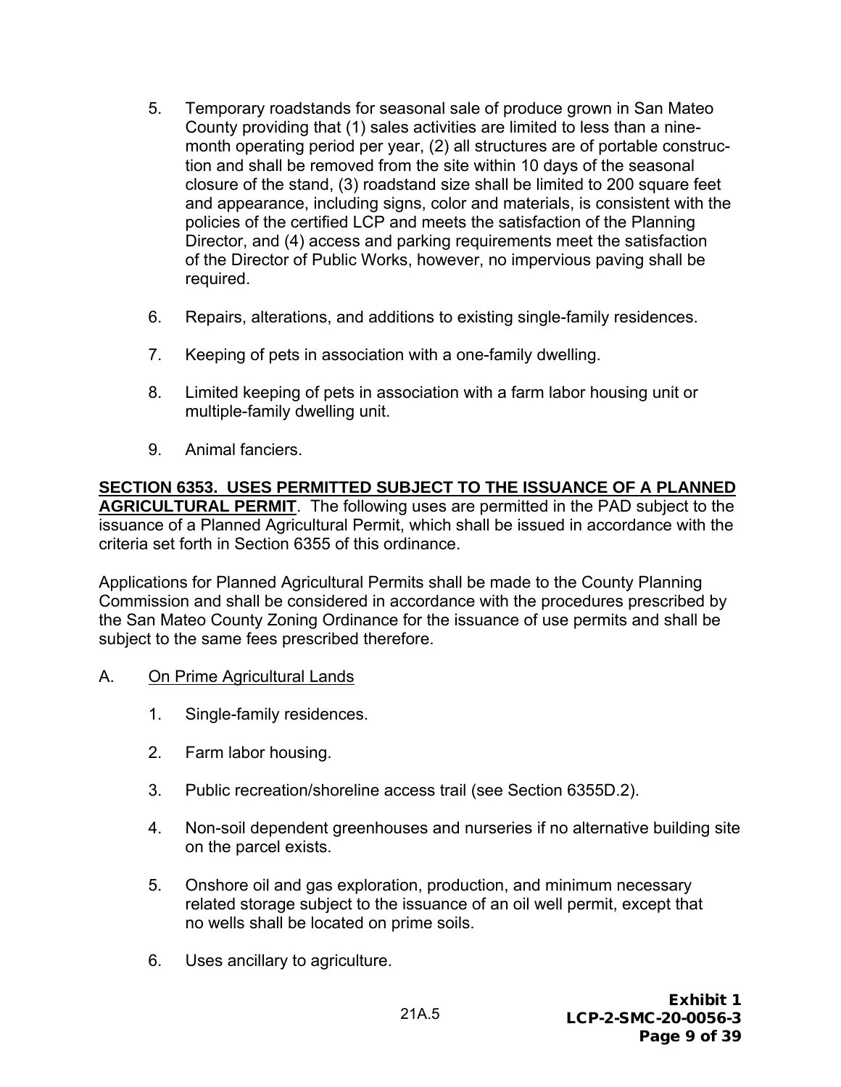- 5. Temporary roadstands for seasonal sale of produce grown in San Mateo County providing that (1) sales activities are limited to less than a ninemonth operating period per year, (2) all structures are of portable construction and shall be removed from the site within 10 days of the seasonal closure of the stand, (3) roadstand size shall be limited to 200 square feet and appearance, including signs, color and materials, is consistent with the policies of the certified LCP and meets the satisfaction of the Planning Director, and (4) access and parking requirements meet the satisfaction of the Director of Public Works, however, no impervious paving shall be required.
- 6. Repairs, alterations, and additions to existing single-family residences.
- 7. Keeping of pets in association with a one-family dwelling.
- 8. Limited keeping of pets in association with a farm labor housing unit or multiple-family dwelling unit.
- 9. Animal fanciers.

**SECTION 6353. USES PERMITTED SUBJECT TO THE ISSUANCE OF A PLANNED AGRICULTURAL PERMIT**. The following uses are permitted in the PAD subject to the issuance of a Planned Agricultural Permit, which shall be issued in accordance with the criteria set forth in Section 6355 of this ordinance.

Applications for Planned Agricultural Permits shall be made to the County Planning Commission and shall be considered in accordance with the procedures prescribed by the San Mateo County Zoning Ordinance for the issuance of use permits and shall be subject to the same fees prescribed therefore.

- A. On Prime Agricultural Lands
	- 1. Single-family residences.
	- 2. Farm labor housing.
	- 3. Public recreation/shoreline access trail (see Section 6355D.2).
	- 4. Non-soil dependent greenhouses and nurseries if no alternative building site on the parcel exists.
	- 5. Onshore oil and gas exploration, production, and minimum necessary related storage subject to the issuance of an oil well permit, except that no wells shall be located on prime soils.
	- 6. Uses ancillary to agriculture.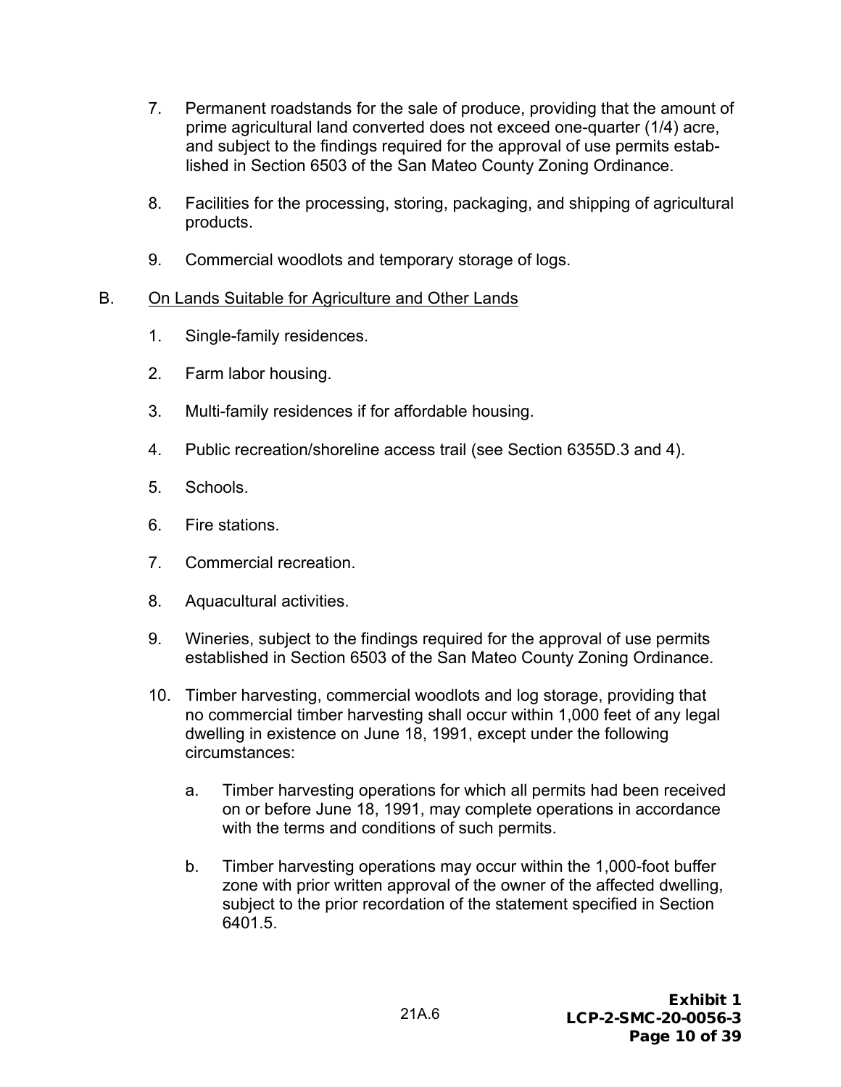- 7. Permanent roadstands for the sale of produce, providing that the amount of prime agricultural land converted does not exceed one-quarter (1/4) acre, and subject to the findings required for the approval of use permits established in Section 6503 of the San Mateo County Zoning Ordinance.
- 8. Facilities for the processing, storing, packaging, and shipping of agricultural products.
- 9. Commercial woodlots and temporary storage of logs.

# B. On Lands Suitable for Agriculture and Other Lands

- 1. Single-family residences.
- 2. Farm labor housing.
- 3. Multi-family residences if for affordable housing.
- 4. Public recreation/shoreline access trail (see Section 6355D.3 and 4).
- 5. Schools.
- 6. Fire stations.
- 7. Commercial recreation.
- 8. Aquacultural activities.
- 9. Wineries, subject to the findings required for the approval of use permits established in Section 6503 of the San Mateo County Zoning Ordinance.
- 10. Timber harvesting, commercial woodlots and log storage, providing that no commercial timber harvesting shall occur within 1,000 feet of any legal dwelling in existence on June 18, 1991, except under the following circumstances:
	- a. Timber harvesting operations for which all permits had been received on or before June 18, 1991, may complete operations in accordance with the terms and conditions of such permits.
	- b. Timber harvesting operations may occur within the 1,000-foot buffer zone with prior written approval of the owner of the affected dwelling, subject to the prior recordation of the statement specified in Section 6401.5.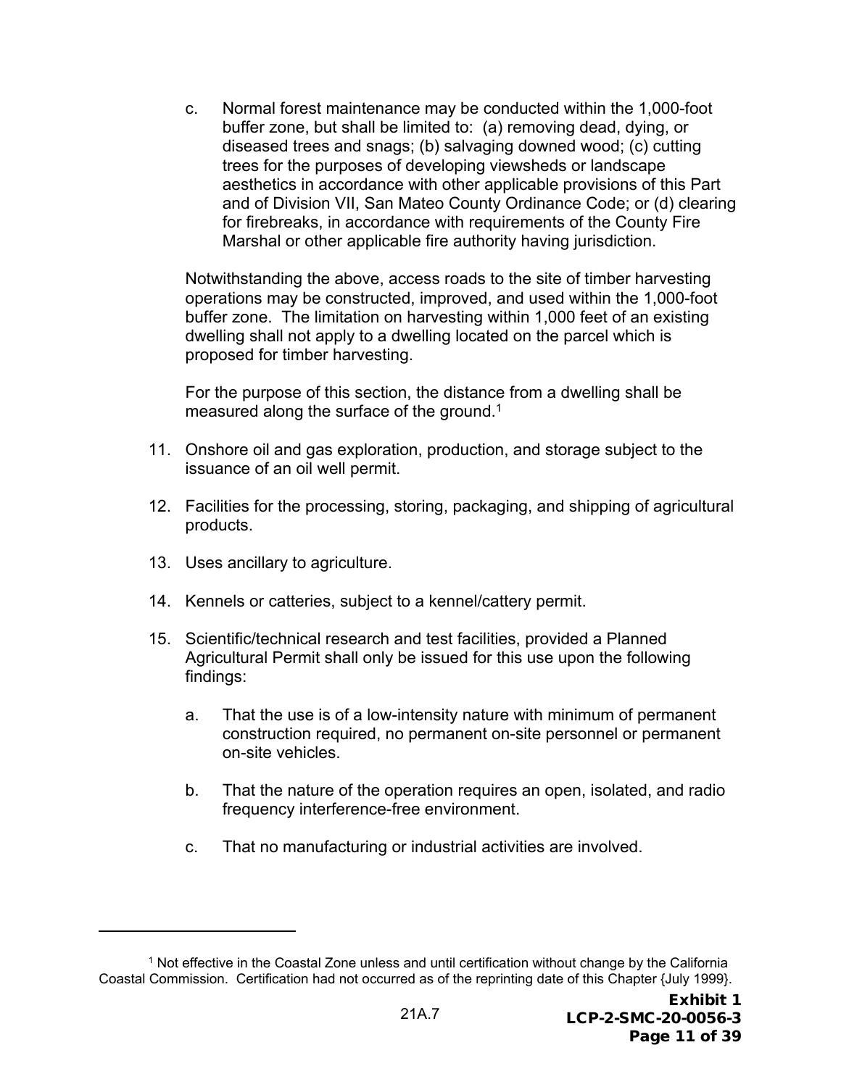c. Normal forest maintenance may be conducted within the 1,000-foot buffer zone, but shall be limited to: (a) removing dead, dying, or diseased trees and snags; (b) salvaging downed wood; (c) cutting trees for the purposes of developing viewsheds or landscape aesthetics in accordance with other applicable provisions of this Part and of Division VII, San Mateo County Ordinance Code; or (d) clearing for firebreaks, in accordance with requirements of the County Fire Marshal or other applicable fire authority having jurisdiction.

Notwithstanding the above, access roads to the site of timber harvesting operations may be constructed, improved, and used within the 1,000-foot buffer zone. The limitation on harvesting within 1,000 feet of an existing dwelling shall not apply to a dwelling located on the parcel which is proposed for timber harvesting.

For the purpose of this section, the distance from a dwelling shall be measured along the surface of the ground.<sup>1</sup>

- 11. Onshore oil and gas exploration, production, and storage subject to the issuance of an oil well permit.
- 12. Facilities for the processing, storing, packaging, and shipping of agricultural products.
- 13. Uses ancillary to agriculture.
- 14. Kennels or catteries, subject to a kennel/cattery permit.
- 15. Scientific/technical research and test facilities, provided a Planned Agricultural Permit shall only be issued for this use upon the following findings:
	- a. That the use is of a low-intensity nature with minimum of permanent construction required, no permanent on-site personnel or permanent on-site vehicles.
	- b. That the nature of the operation requires an open, isolated, and radio frequency interference-free environment.
	- c. That no manufacturing or industrial activities are involved.

<sup>1</sup> Not effective in the Coastal Zone unless and until certification without change by the California Coastal Commission. Certification had not occurred as of the reprinting date of this Chapter {July 1999}.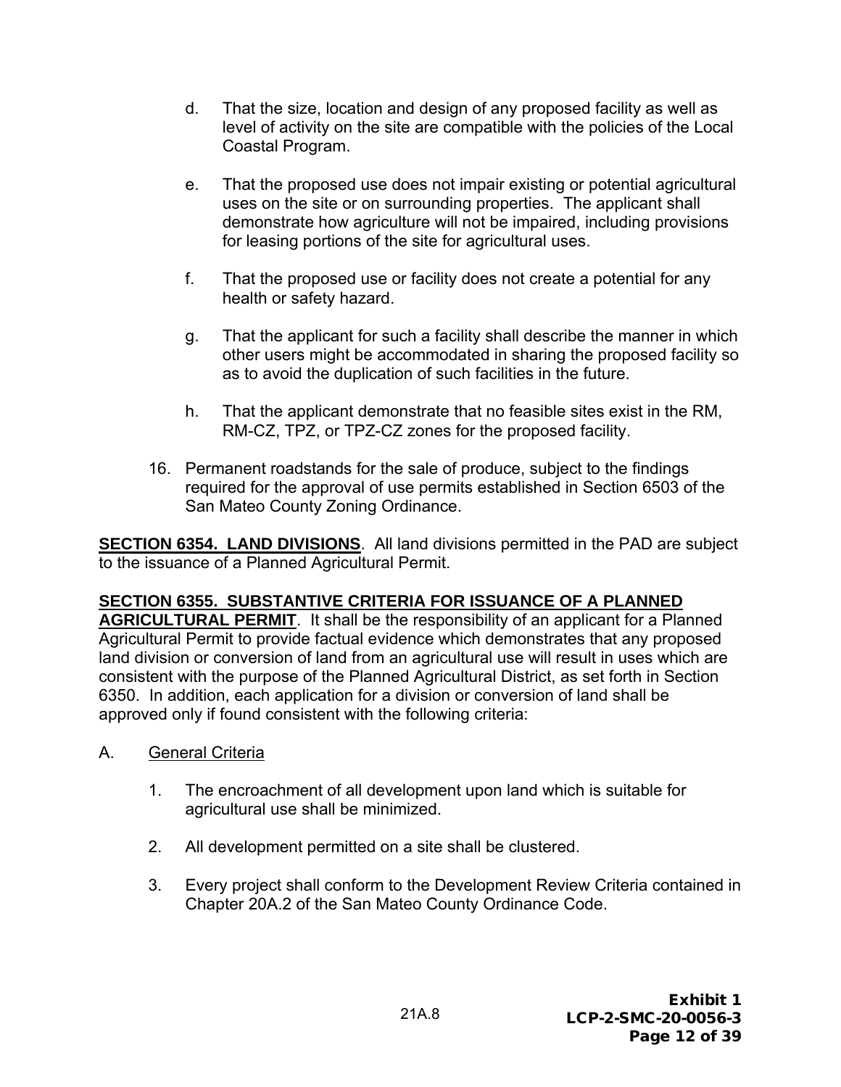- d. That the size, location and design of any proposed facility as well as level of activity on the site are compatible with the policies of the Local Coastal Program.
- e. That the proposed use does not impair existing or potential agricultural uses on the site or on surrounding properties. The applicant shall demonstrate how agriculture will not be impaired, including provisions for leasing portions of the site for agricultural uses.
- f. That the proposed use or facility does not create a potential for any health or safety hazard.
- g. That the applicant for such a facility shall describe the manner in which other users might be accommodated in sharing the proposed facility so as to avoid the duplication of such facilities in the future.
- h. That the applicant demonstrate that no feasible sites exist in the RM, RM-CZ, TPZ, or TPZ-CZ zones for the proposed facility.
- 16. Permanent roadstands for the sale of produce, subject to the findings required for the approval of use permits established in Section 6503 of the San Mateo County Zoning Ordinance.

**SECTION 6354. LAND DIVISIONS**. All land divisions permitted in the PAD are subject to the issuance of a Planned Agricultural Permit.

# **SECTION 6355. SUBSTANTIVE CRITERIA FOR ISSUANCE OF A PLANNED**

**AGRICULTURAL PERMIT**. It shall be the responsibility of an applicant for a Planned Agricultural Permit to provide factual evidence which demonstrates that any proposed land division or conversion of land from an agricultural use will result in uses which are consistent with the purpose of the Planned Agricultural District, as set forth in Section 6350. In addition, each application for a division or conversion of land shall be approved only if found consistent with the following criteria:

- A. General Criteria
	- 1. The encroachment of all development upon land which is suitable for agricultural use shall be minimized.
	- 2. All development permitted on a site shall be clustered.
	- 3. Every project shall conform to the Development Review Criteria contained in Chapter 20A.2 of the San Mateo County Ordinance Code.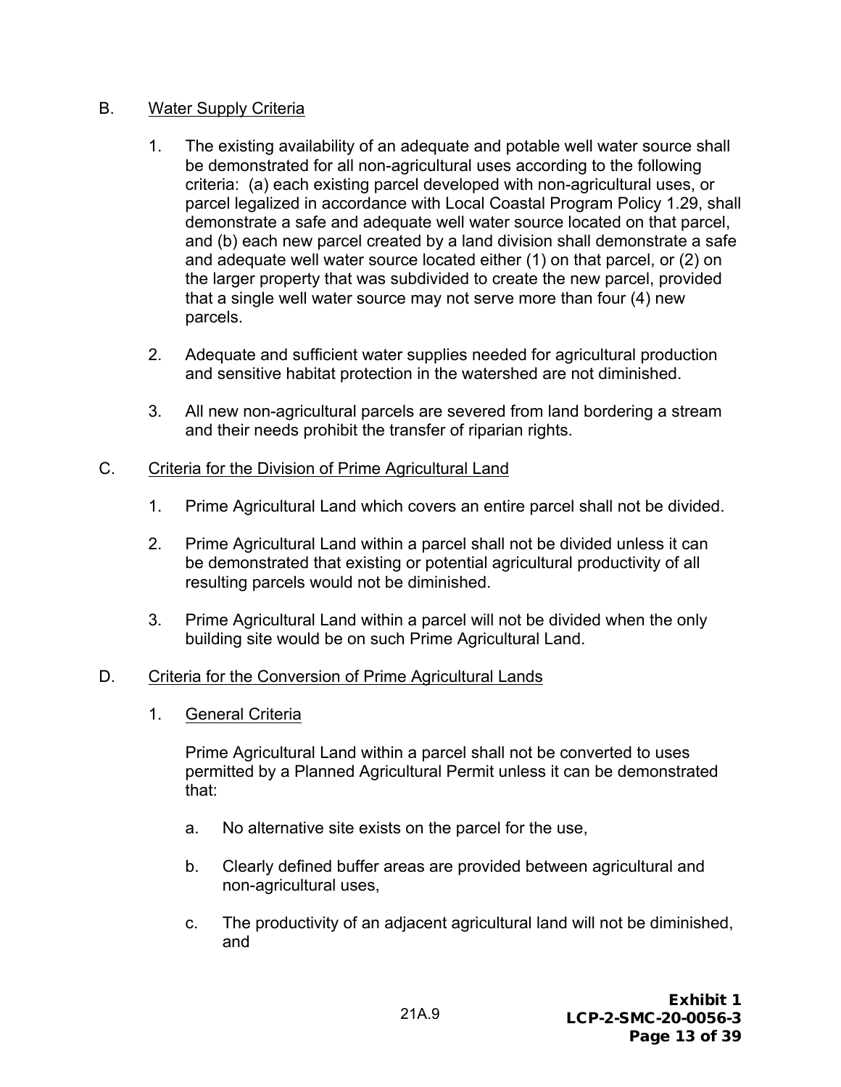#### B. Water Supply Criteria

- 1. The existing availability of an adequate and potable well water source shall be demonstrated for all non-agricultural uses according to the following criteria: (a) each existing parcel developed with non-agricultural uses, or parcel legalized in accordance with Local Coastal Program Policy 1.29, shall demonstrate a safe and adequate well water source located on that parcel, and (b) each new parcel created by a land division shall demonstrate a safe and adequate well water source located either (1) on that parcel, or (2) on the larger property that was subdivided to create the new parcel, provided that a single well water source may not serve more than four (4) new parcels.
- 2. Adequate and sufficient water supplies needed for agricultural production and sensitive habitat protection in the watershed are not diminished.
- 3. All new non-agricultural parcels are severed from land bordering a stream and their needs prohibit the transfer of riparian rights.

#### C. Criteria for the Division of Prime Agricultural Land

- 1. Prime Agricultural Land which covers an entire parcel shall not be divided.
- 2. Prime Agricultural Land within a parcel shall not be divided unless it can be demonstrated that existing or potential agricultural productivity of all resulting parcels would not be diminished.
- 3. Prime Agricultural Land within a parcel will not be divided when the only building site would be on such Prime Agricultural Land.

#### D. Criteria for the Conversion of Prime Agricultural Lands

1. General Criteria

Prime Agricultural Land within a parcel shall not be converted to uses permitted by a Planned Agricultural Permit unless it can be demonstrated that:

- a. No alternative site exists on the parcel for the use,
- b. Clearly defined buffer areas are provided between agricultural and non-agricultural uses,
- c. The productivity of an adjacent agricultural land will not be diminished, and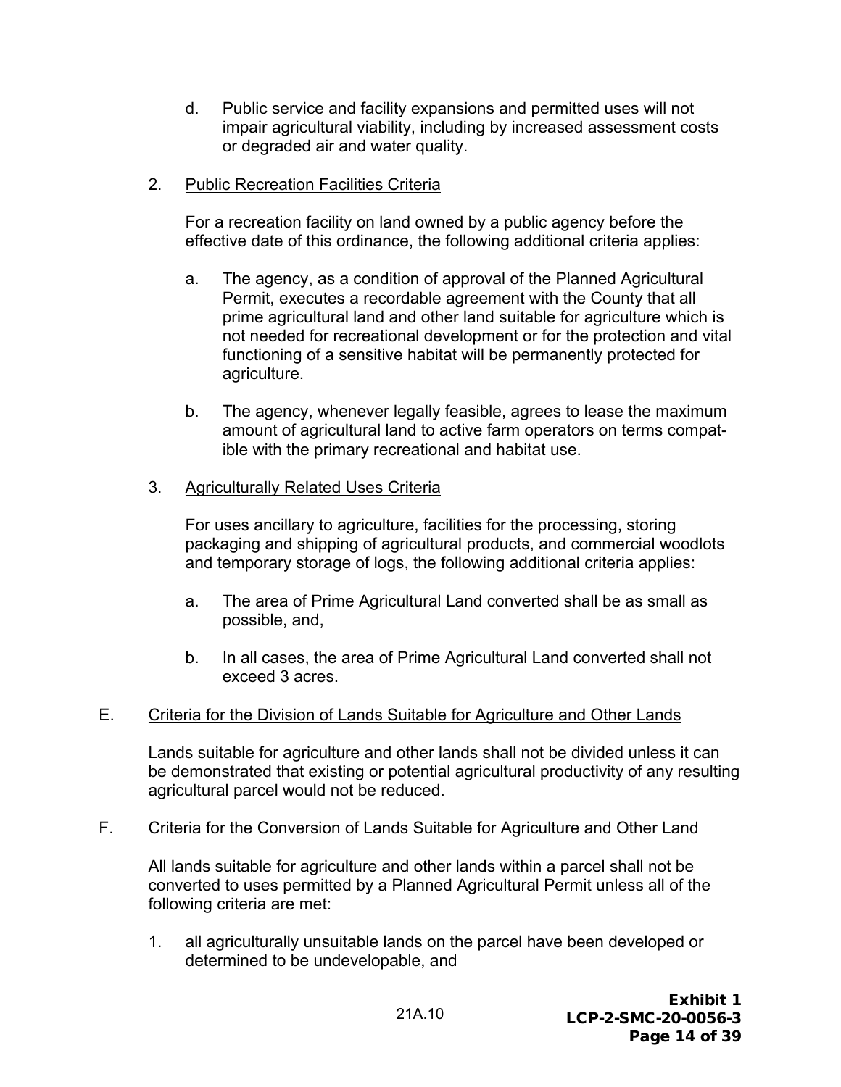- d. Public service and facility expansions and permitted uses will not impair agricultural viability, including by increased assessment costs or degraded air and water quality.
- 2. Public Recreation Facilities Criteria

For a recreation facility on land owned by a public agency before the effective date of this ordinance, the following additional criteria applies:

- a. The agency, as a condition of approval of the Planned Agricultural Permit, executes a recordable agreement with the County that all prime agricultural land and other land suitable for agriculture which is not needed for recreational development or for the protection and vital functioning of a sensitive habitat will be permanently protected for agriculture.
- b. The agency, whenever legally feasible, agrees to lease the maximum amount of agricultural land to active farm operators on terms compatible with the primary recreational and habitat use.

#### 3. Agriculturally Related Uses Criteria

For uses ancillary to agriculture, facilities for the processing, storing packaging and shipping of agricultural products, and commercial woodlots and temporary storage of logs, the following additional criteria applies:

- a. The area of Prime Agricultural Land converted shall be as small as possible, and,
- b. In all cases, the area of Prime Agricultural Land converted shall not exceed 3 acres.

#### E. Criteria for the Division of Lands Suitable for Agriculture and Other Lands

Lands suitable for agriculture and other lands shall not be divided unless it can be demonstrated that existing or potential agricultural productivity of any resulting agricultural parcel would not be reduced.

#### F. Criteria for the Conversion of Lands Suitable for Agriculture and Other Land

All lands suitable for agriculture and other lands within a parcel shall not be converted to uses permitted by a Planned Agricultural Permit unless all of the following criteria are met:

1. all agriculturally unsuitable lands on the parcel have been developed or determined to be undevelopable, and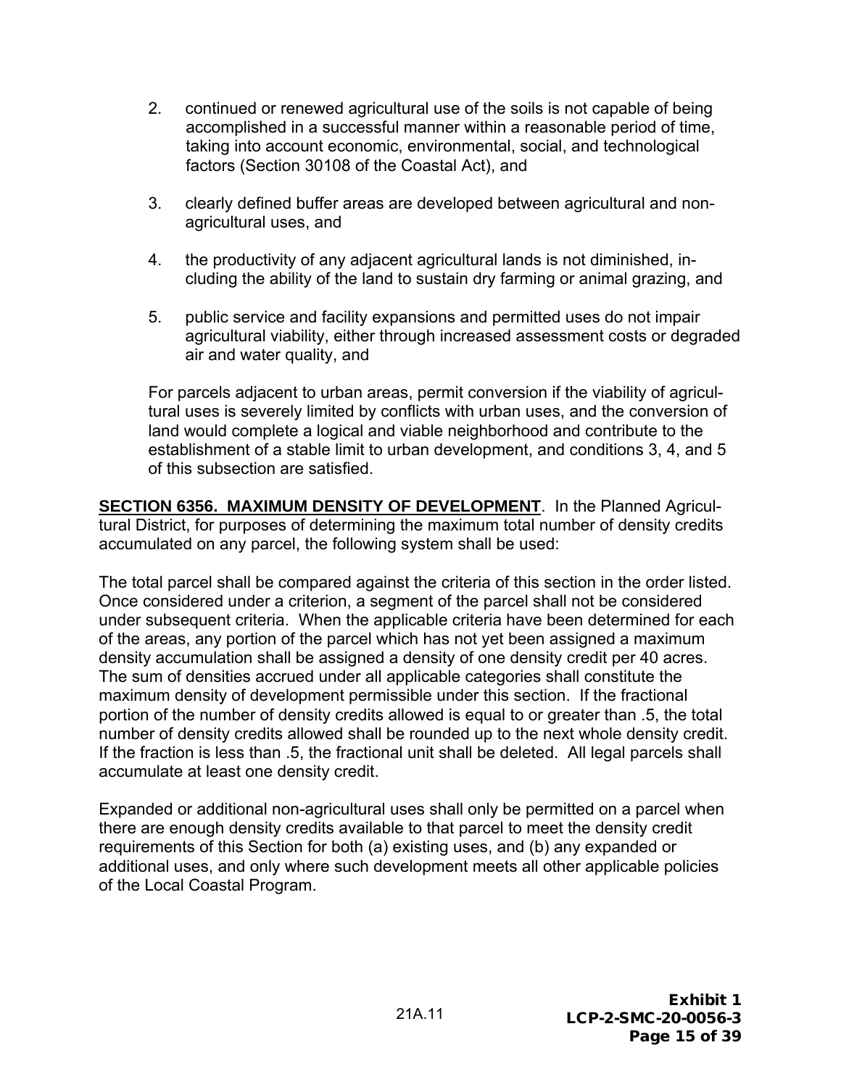- 2. continued or renewed agricultural use of the soils is not capable of being accomplished in a successful manner within a reasonable period of time, taking into account economic, environmental, social, and technological factors (Section 30108 of the Coastal Act), and
- 3. clearly defined buffer areas are developed between agricultural and nonagricultural uses, and
- 4. the productivity of any adjacent agricultural lands is not diminished, including the ability of the land to sustain dry farming or animal grazing, and
- 5. public service and facility expansions and permitted uses do not impair agricultural viability, either through increased assessment costs or degraded air and water quality, and

For parcels adjacent to urban areas, permit conversion if the viability of agricultural uses is severely limited by conflicts with urban uses, and the conversion of land would complete a logical and viable neighborhood and contribute to the establishment of a stable limit to urban development, and conditions 3, 4, and 5 of this subsection are satisfied.

**SECTION 6356. MAXIMUM DENSITY OF DEVELOPMENT**. In the Planned Agricultural District, for purposes of determining the maximum total number of density credits accumulated on any parcel, the following system shall be used:

The total parcel shall be compared against the criteria of this section in the order listed. Once considered under a criterion, a segment of the parcel shall not be considered under subsequent criteria. When the applicable criteria have been determined for each of the areas, any portion of the parcel which has not yet been assigned a maximum density accumulation shall be assigned a density of one density credit per 40 acres. The sum of densities accrued under all applicable categories shall constitute the maximum density of development permissible under this section. If the fractional portion of the number of density credits allowed is equal to or greater than .5, the total number of density credits allowed shall be rounded up to the next whole density credit. If the fraction is less than .5, the fractional unit shall be deleted. All legal parcels shall accumulate at least one density credit.

Expanded or additional non-agricultural uses shall only be permitted on a parcel when there are enough density credits available to that parcel to meet the density credit requirements of this Section for both (a) existing uses, and (b) any expanded or additional uses, and only where such development meets all other applicable policies of the Local Coastal Program.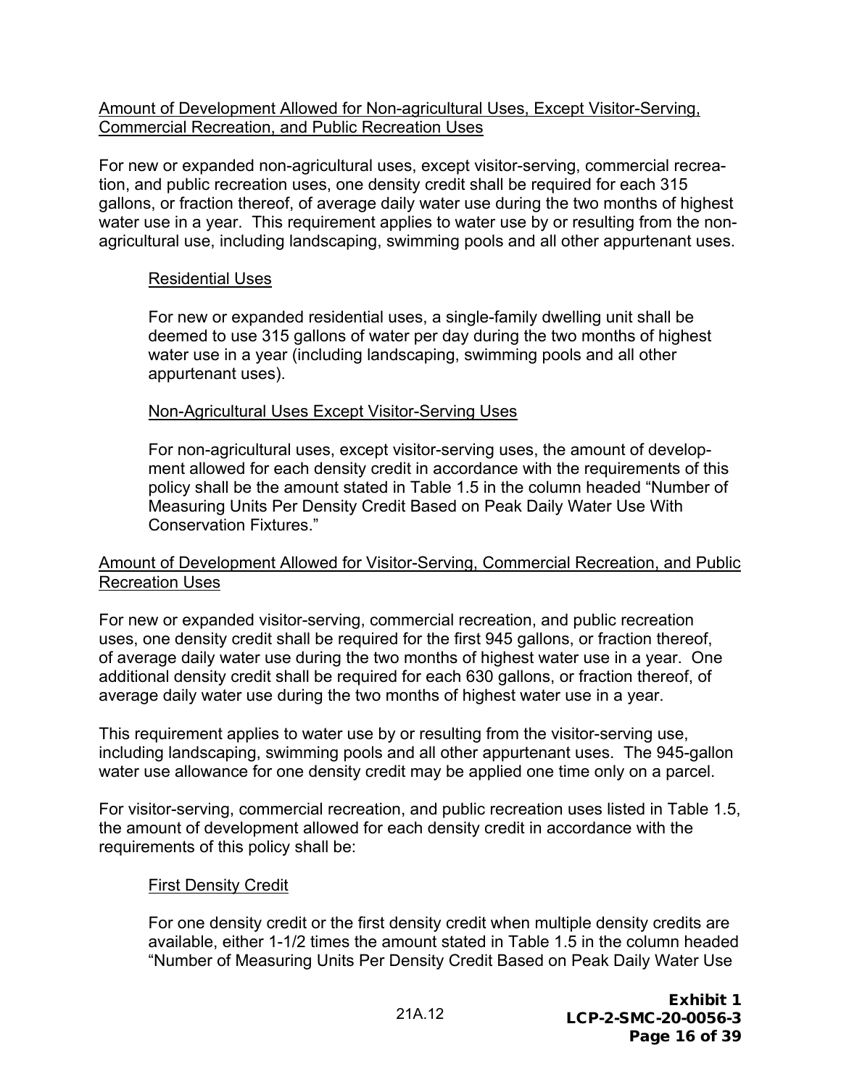#### Amount of Development Allowed for Non-agricultural Uses, Except Visitor-Serving, Commercial Recreation, and Public Recreation Uses

For new or expanded non-agricultural uses, except visitor-serving, commercial recreation, and public recreation uses, one density credit shall be required for each 315 gallons, or fraction thereof, of average daily water use during the two months of highest water use in a year. This requirement applies to water use by or resulting from the nonagricultural use, including landscaping, swimming pools and all other appurtenant uses.

#### Residential Uses

For new or expanded residential uses, a single-family dwelling unit shall be deemed to use 315 gallons of water per day during the two months of highest water use in a year (including landscaping, swimming pools and all other appurtenant uses).

#### Non-Agricultural Uses Except Visitor-Serving Uses

For non-agricultural uses, except visitor-serving uses, the amount of development allowed for each density credit in accordance with the requirements of this policy shall be the amount stated in Table 1.5 in the column headed "Number of Measuring Units Per Density Credit Based on Peak Daily Water Use With Conservation Fixtures."

#### Amount of Development Allowed for Visitor-Serving, Commercial Recreation, and Public Recreation Uses

For new or expanded visitor-serving, commercial recreation, and public recreation uses, one density credit shall be required for the first 945 gallons, or fraction thereof, of average daily water use during the two months of highest water use in a year. One additional density credit shall be required for each 630 gallons, or fraction thereof, of average daily water use during the two months of highest water use in a year.

This requirement applies to water use by or resulting from the visitor-serving use, including landscaping, swimming pools and all other appurtenant uses. The 945-gallon water use allowance for one density credit may be applied one time only on a parcel.

For visitor-serving, commercial recreation, and public recreation uses listed in Table 1.5, the amount of development allowed for each density credit in accordance with the requirements of this policy shall be:

#### First Density Credit

For one density credit or the first density credit when multiple density credits are available, either 1-1/2 times the amount stated in Table 1.5 in the column headed "Number of Measuring Units Per Density Credit Based on Peak Daily Water Use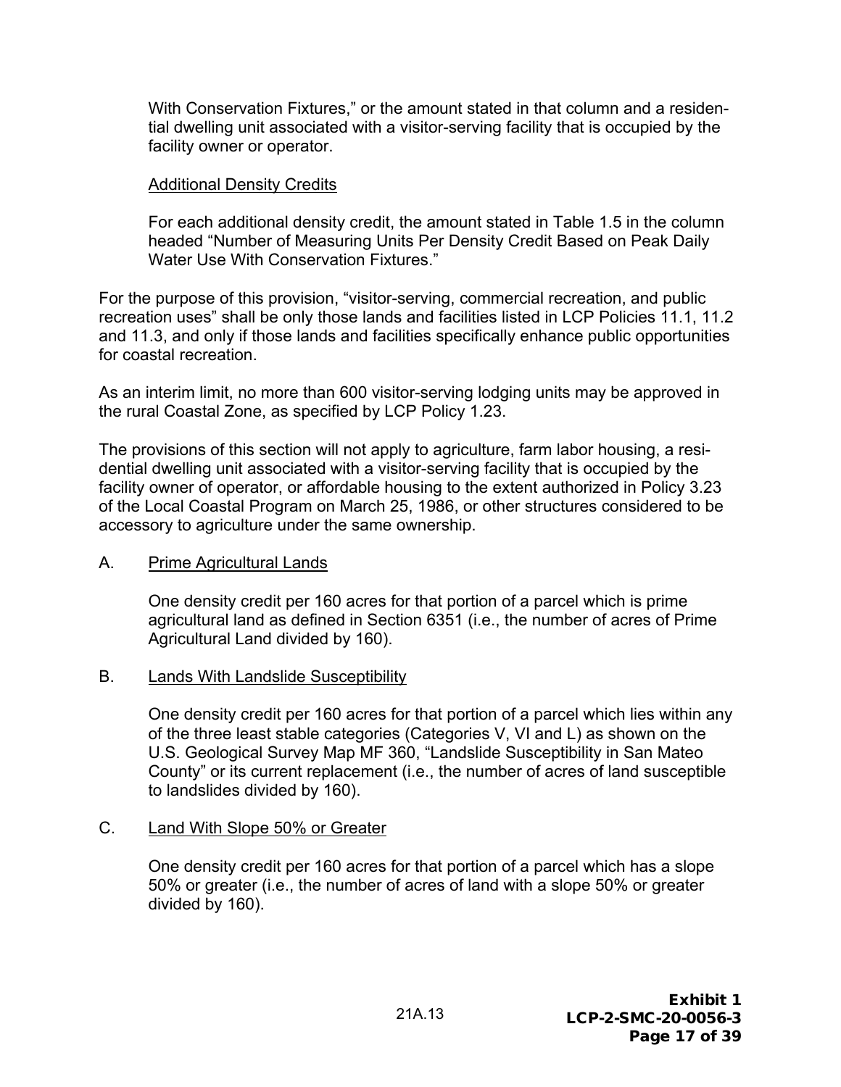With Conservation Fixtures," or the amount stated in that column and a residential dwelling unit associated with a visitor-serving facility that is occupied by the facility owner or operator.

#### Additional Density Credits

For each additional density credit, the amount stated in Table 1.5 in the column headed "Number of Measuring Units Per Density Credit Based on Peak Daily Water Use With Conservation Fixtures."

For the purpose of this provision, "visitor-serving, commercial recreation, and public recreation uses" shall be only those lands and facilities listed in LCP Policies 11.1, 11.2 and 11.3, and only if those lands and facilities specifically enhance public opportunities for coastal recreation.

As an interim limit, no more than 600 visitor-serving lodging units may be approved in the rural Coastal Zone, as specified by LCP Policy 1.23.

The provisions of this section will not apply to agriculture, farm labor housing, a residential dwelling unit associated with a visitor-serving facility that is occupied by the facility owner of operator, or affordable housing to the extent authorized in Policy 3.23 of the Local Coastal Program on March 25, 1986, or other structures considered to be accessory to agriculture under the same ownership.

#### A. Prime Agricultural Lands

One density credit per 160 acres for that portion of a parcel which is prime agricultural land as defined in Section 6351 (i.e., the number of acres of Prime Agricultural Land divided by 160).

#### B. Lands With Landslide Susceptibility

One density credit per 160 acres for that portion of a parcel which lies within any of the three least stable categories (Categories V, VI and L) as shown on the U.S. Geological Survey Map MF 360, "Landslide Susceptibility in San Mateo County" or its current replacement (i.e., the number of acres of land susceptible to landslides divided by 160).

#### C. Land With Slope 50% or Greater

One density credit per 160 acres for that portion of a parcel which has a slope 50% or greater (i.e., the number of acres of land with a slope 50% or greater divided by 160).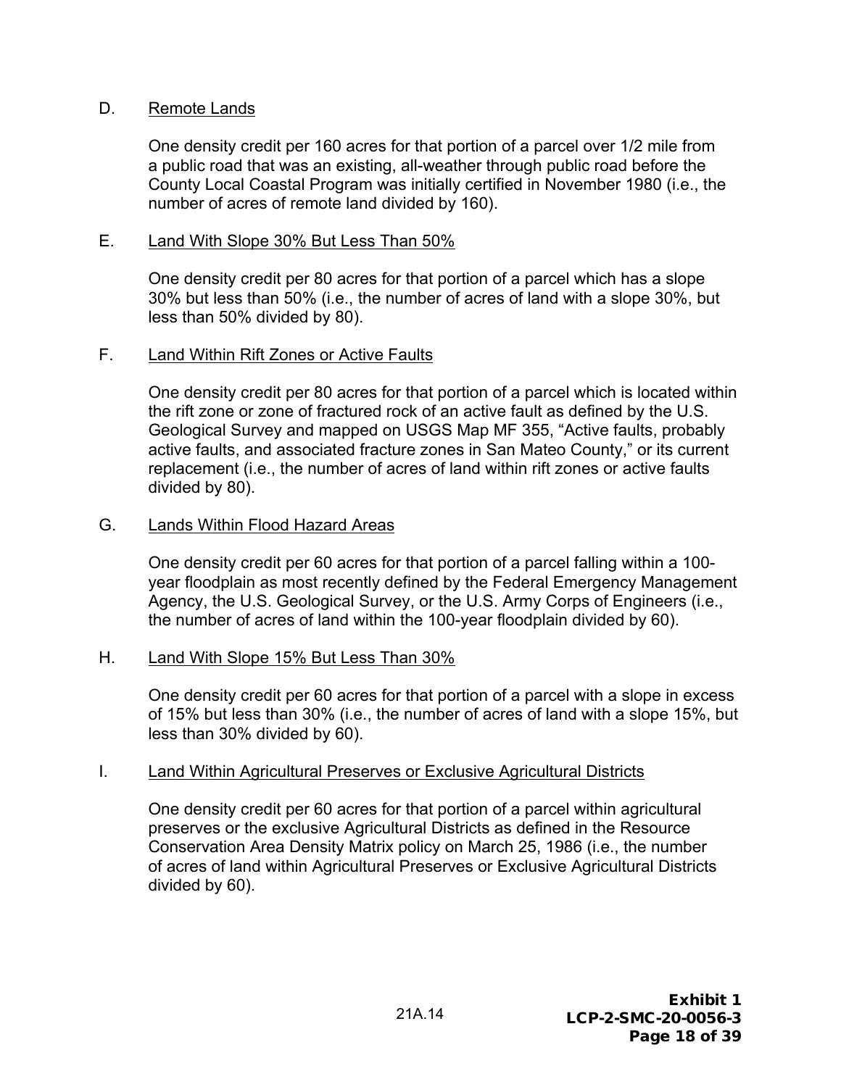#### D. Remote Lands

One density credit per 160 acres for that portion of a parcel over 1/2 mile from a public road that was an existing, all-weather through public road before the County Local Coastal Program was initially certified in November 1980 (i.e., the number of acres of remote land divided by 160).

#### E. Land With Slope 30% But Less Than 50%

One density credit per 80 acres for that portion of a parcel which has a slope 30% but less than 50% (i.e., the number of acres of land with a slope 30%, but less than 50% divided by 80).

#### F. Land Within Rift Zones or Active Faults

One density credit per 80 acres for that portion of a parcel which is located within the rift zone or zone of fractured rock of an active fault as defined by the U.S. Geological Survey and mapped on USGS Map MF 355, "Active faults, probably active faults, and associated fracture zones in San Mateo County," or its current replacement (i.e., the number of acres of land within rift zones or active faults divided by 80).

#### G. Lands Within Flood Hazard Areas

One density credit per 60 acres for that portion of a parcel falling within a 100 year floodplain as most recently defined by the Federal Emergency Management Agency, the U.S. Geological Survey, or the U.S. Army Corps of Engineers (i.e., the number of acres of land within the 100-year floodplain divided by 60).

#### H. Land With Slope 15% But Less Than 30%

One density credit per 60 acres for that portion of a parcel with a slope in excess of 15% but less than 30% (i.e., the number of acres of land with a slope 15%, but less than 30% divided by 60).

#### I. Land Within Agricultural Preserves or Exclusive Agricultural Districts

One density credit per 60 acres for that portion of a parcel within agricultural preserves or the exclusive Agricultural Districts as defined in the Resource Conservation Area Density Matrix policy on March 25, 1986 (i.e., the number of acres of land within Agricultural Preserves or Exclusive Agricultural Districts divided by 60).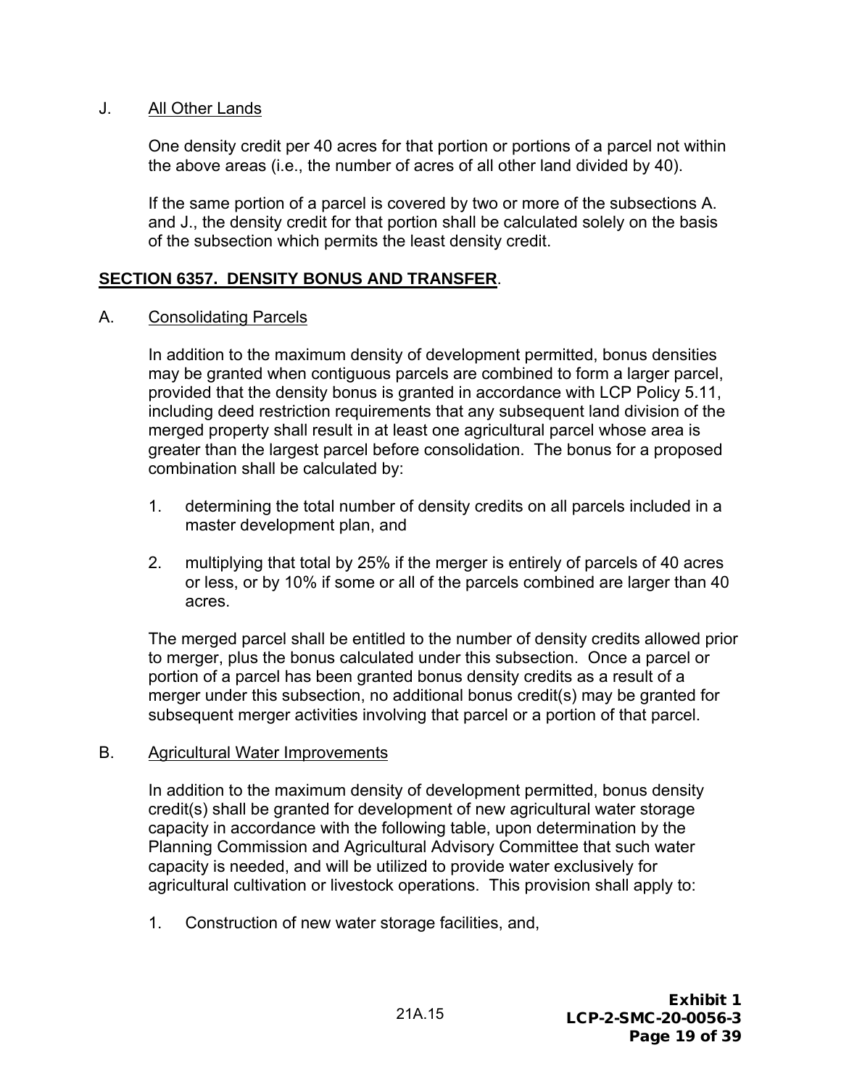#### J. All Other Lands

One density credit per 40 acres for that portion or portions of a parcel not within the above areas (i.e., the number of acres of all other land divided by 40).

If the same portion of a parcel is covered by two or more of the subsections A. and J., the density credit for that portion shall be calculated solely on the basis of the subsection which permits the least density credit.

#### **SECTION 6357. DENSITY BONUS AND TRANSFER**.

#### A. Consolidating Parcels

In addition to the maximum density of development permitted, bonus densities may be granted when contiguous parcels are combined to form a larger parcel, provided that the density bonus is granted in accordance with LCP Policy 5.11, including deed restriction requirements that any subsequent land division of the merged property shall result in at least one agricultural parcel whose area is greater than the largest parcel before consolidation. The bonus for a proposed combination shall be calculated by:

- 1. determining the total number of density credits on all parcels included in a master development plan, and
- 2. multiplying that total by 25% if the merger is entirely of parcels of 40 acres or less, or by 10% if some or all of the parcels combined are larger than 40 acres.

The merged parcel shall be entitled to the number of density credits allowed prior to merger, plus the bonus calculated under this subsection. Once a parcel or portion of a parcel has been granted bonus density credits as a result of a merger under this subsection, no additional bonus credit(s) may be granted for subsequent merger activities involving that parcel or a portion of that parcel.

#### B. Agricultural Water Improvements

In addition to the maximum density of development permitted, bonus density credit(s) shall be granted for development of new agricultural water storage capacity in accordance with the following table, upon determination by the Planning Commission and Agricultural Advisory Committee that such water capacity is needed, and will be utilized to provide water exclusively for agricultural cultivation or livestock operations. This provision shall apply to:

1. Construction of new water storage facilities, and,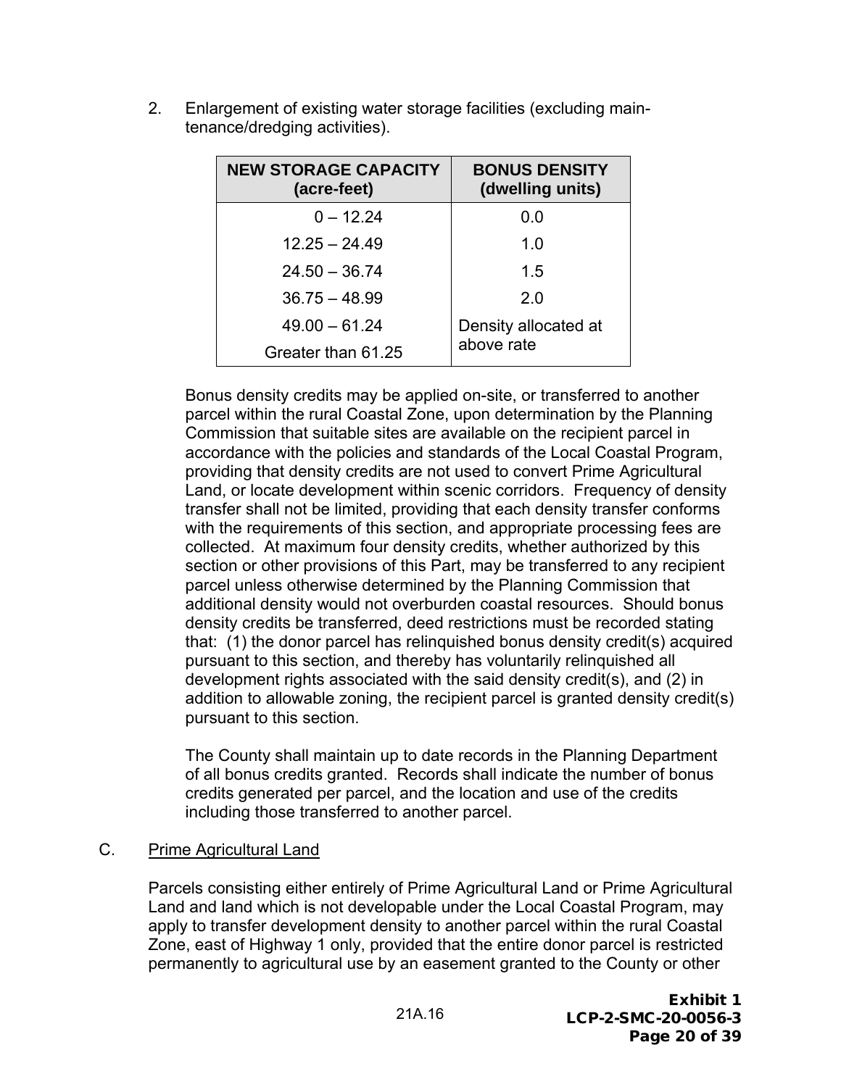| <b>NEW STORAGE CAPACITY</b><br>(acre-feet) | <b>BONUS DENSITY</b><br>(dwelling units) |
|--------------------------------------------|------------------------------------------|
| $0 - 12.24$                                | 0.0                                      |
| $12.25 - 24.49$                            | 1.0                                      |
| $24.50 - 36.74$                            | 15                                       |
| $36.75 - 48.99$                            | 20                                       |
| $49.00 - 61.24$                            | Density allocated at                     |
| Greater than 61.25                         | above rate                               |

2. Enlargement of existing water storage facilities (excluding maintenance/dredging activities).

Bonus density credits may be applied on-site, or transferred to another parcel within the rural Coastal Zone, upon determination by the Planning Commission that suitable sites are available on the recipient parcel in accordance with the policies and standards of the Local Coastal Program, providing that density credits are not used to convert Prime Agricultural Land, or locate development within scenic corridors. Frequency of density transfer shall not be limited, providing that each density transfer conforms with the requirements of this section, and appropriate processing fees are collected. At maximum four density credits, whether authorized by this section or other provisions of this Part, may be transferred to any recipient parcel unless otherwise determined by the Planning Commission that additional density would not overburden coastal resources. Should bonus density credits be transferred, deed restrictions must be recorded stating that: (1) the donor parcel has relinquished bonus density credit(s) acquired pursuant to this section, and thereby has voluntarily relinquished all development rights associated with the said density credit(s), and (2) in addition to allowable zoning, the recipient parcel is granted density credit(s) pursuant to this section.

The County shall maintain up to date records in the Planning Department of all bonus credits granted. Records shall indicate the number of bonus credits generated per parcel, and the location and use of the credits including those transferred to another parcel.

#### C. Prime Agricultural Land

Parcels consisting either entirely of Prime Agricultural Land or Prime Agricultural Land and land which is not developable under the Local Coastal Program, may apply to transfer development density to another parcel within the rural Coastal Zone, east of Highway 1 only, provided that the entire donor parcel is restricted permanently to agricultural use by an easement granted to the County or other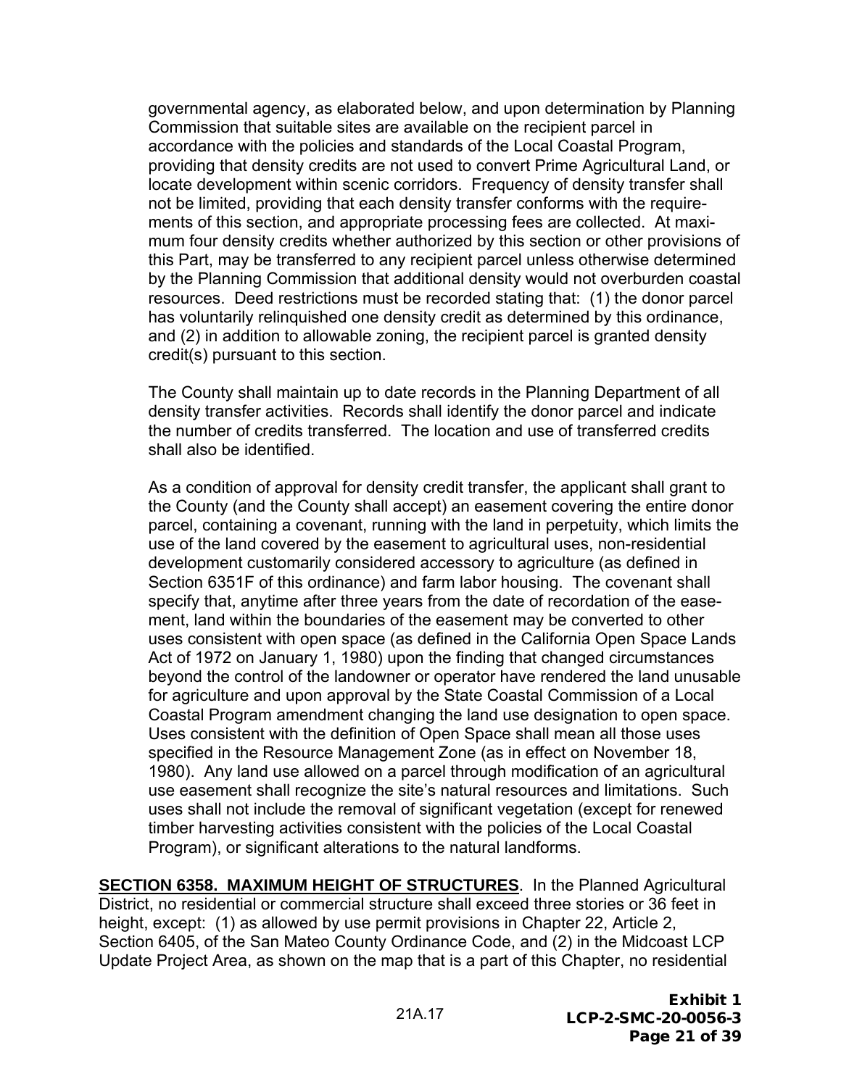governmental agency, as elaborated below, and upon determination by Planning Commission that suitable sites are available on the recipient parcel in accordance with the policies and standards of the Local Coastal Program, providing that density credits are not used to convert Prime Agricultural Land, or locate development within scenic corridors. Frequency of density transfer shall not be limited, providing that each density transfer conforms with the requirements of this section, and appropriate processing fees are collected. At maximum four density credits whether authorized by this section or other provisions of this Part, may be transferred to any recipient parcel unless otherwise determined by the Planning Commission that additional density would not overburden coastal resources. Deed restrictions must be recorded stating that: (1) the donor parcel has voluntarily relinquished one density credit as determined by this ordinance, and (2) in addition to allowable zoning, the recipient parcel is granted density credit(s) pursuant to this section.

The County shall maintain up to date records in the Planning Department of all density transfer activities. Records shall identify the donor parcel and indicate the number of credits transferred. The location and use of transferred credits shall also be identified.

As a condition of approval for density credit transfer, the applicant shall grant to the County (and the County shall accept) an easement covering the entire donor parcel, containing a covenant, running with the land in perpetuity, which limits the use of the land covered by the easement to agricultural uses, non-residential development customarily considered accessory to agriculture (as defined in Section 6351F of this ordinance) and farm labor housing. The covenant shall specify that, anytime after three years from the date of recordation of the easement, land within the boundaries of the easement may be converted to other uses consistent with open space (as defined in the California Open Space Lands Act of 1972 on January 1, 1980) upon the finding that changed circumstances beyond the control of the landowner or operator have rendered the land unusable for agriculture and upon approval by the State Coastal Commission of a Local Coastal Program amendment changing the land use designation to open space. Uses consistent with the definition of Open Space shall mean all those uses specified in the Resource Management Zone (as in effect on November 18, 1980). Any land use allowed on a parcel through modification of an agricultural use easement shall recognize the site's natural resources and limitations. Such uses shall not include the removal of significant vegetation (except for renewed timber harvesting activities consistent with the policies of the Local Coastal Program), or significant alterations to the natural landforms.

**SECTION 6358. MAXIMUM HEIGHT OF STRUCTURES**. In the Planned Agricultural District, no residential or commercial structure shall exceed three stories or 36 feet in height, except: (1) as allowed by use permit provisions in Chapter 22, Article 2, Section 6405, of the San Mateo County Ordinance Code, and (2) in the Midcoast LCP Update Project Area, as shown on the map that is a part of this Chapter, no residential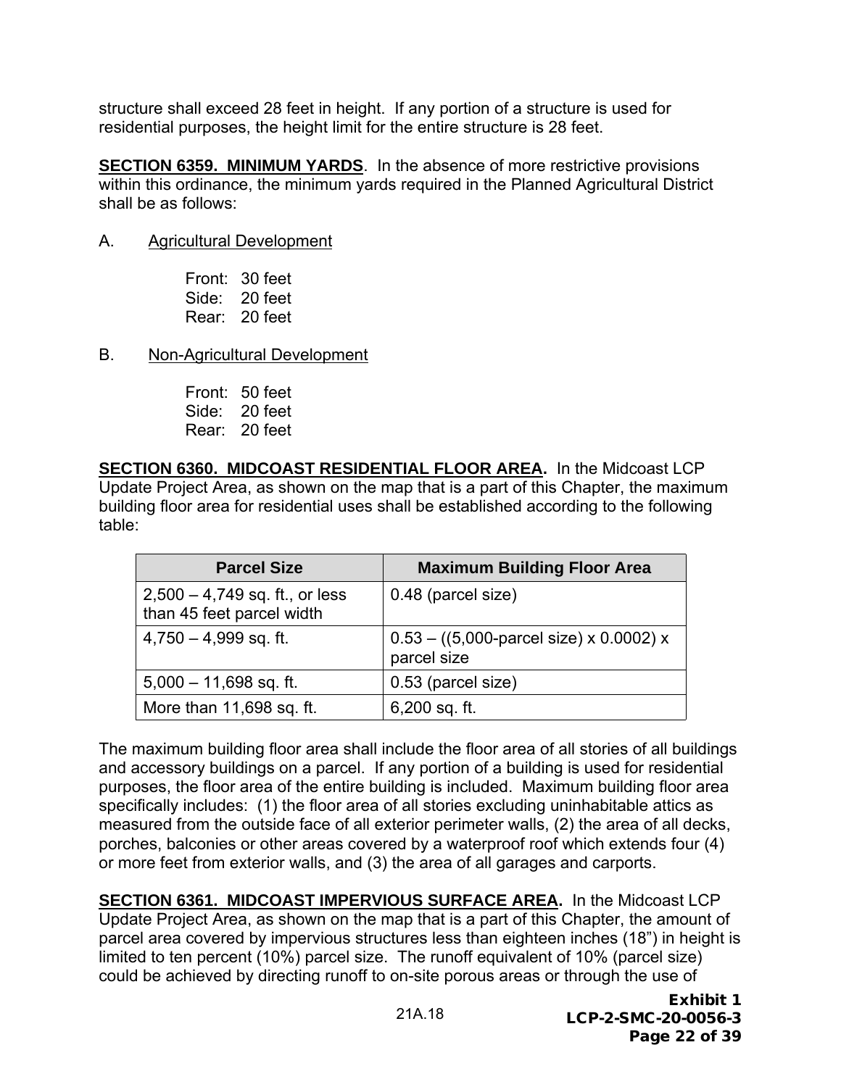structure shall exceed 28 feet in height. If any portion of a structure is used for residential purposes, the height limit for the entire structure is 28 feet.

**SECTION 6359. MINIMUM YARDS**. In the absence of more restrictive provisions within this ordinance, the minimum yards required in the Planned Agricultural District shall be as follows:

#### A. Agricultural Development

Front: 30 feet Side: 20 feet Rear: 20 feet

- B. Non-Agricultural Development
	- Front: 50 feet Side: 20 feet Rear: 20 feet

**SECTION 6360. MIDCOAST RESIDENTIAL FLOOR AREA.** In the Midcoast LCP Update Project Area, as shown on the map that is a part of this Chapter, the maximum building floor area for residential uses shall be established according to the following table:

| <b>Parcel Size</b>                                            | <b>Maximum Building Floor Area</b>                                           |
|---------------------------------------------------------------|------------------------------------------------------------------------------|
| $2,500 - 4,749$ sq. ft., or less<br>than 45 feet parcel width | 0.48 (parcel size)                                                           |
| $4,750 - 4,999$ sq. ft.                                       | $0.53 - ((5,000\text{-} \text{parcel size}) \times 0.0002)$ x<br>parcel size |
| $5,000 - 11,698$ sq. ft.                                      | 0.53 (parcel size)                                                           |
| More than 11,698 sq. ft.                                      | $6,200$ sq. ft.                                                              |

The maximum building floor area shall include the floor area of all stories of all buildings and accessory buildings on a parcel. If any portion of a building is used for residential purposes, the floor area of the entire building is included. Maximum building floor area specifically includes: (1) the floor area of all stories excluding uninhabitable attics as measured from the outside face of all exterior perimeter walls, (2) the area of all decks, porches, balconies or other areas covered by a waterproof roof which extends four (4) or more feet from exterior walls, and (3) the area of all garages and carports.

**SECTION 6361. MIDCOAST IMPERVIOUS SURFACE AREA.** In the Midcoast LCP Update Project Area, as shown on the map that is a part of this Chapter, the amount of parcel area covered by impervious structures less than eighteen inches (18") in height is limited to ten percent (10%) parcel size. The runoff equivalent of 10% (parcel size) could be achieved by directing runoff to on-site porous areas or through the use of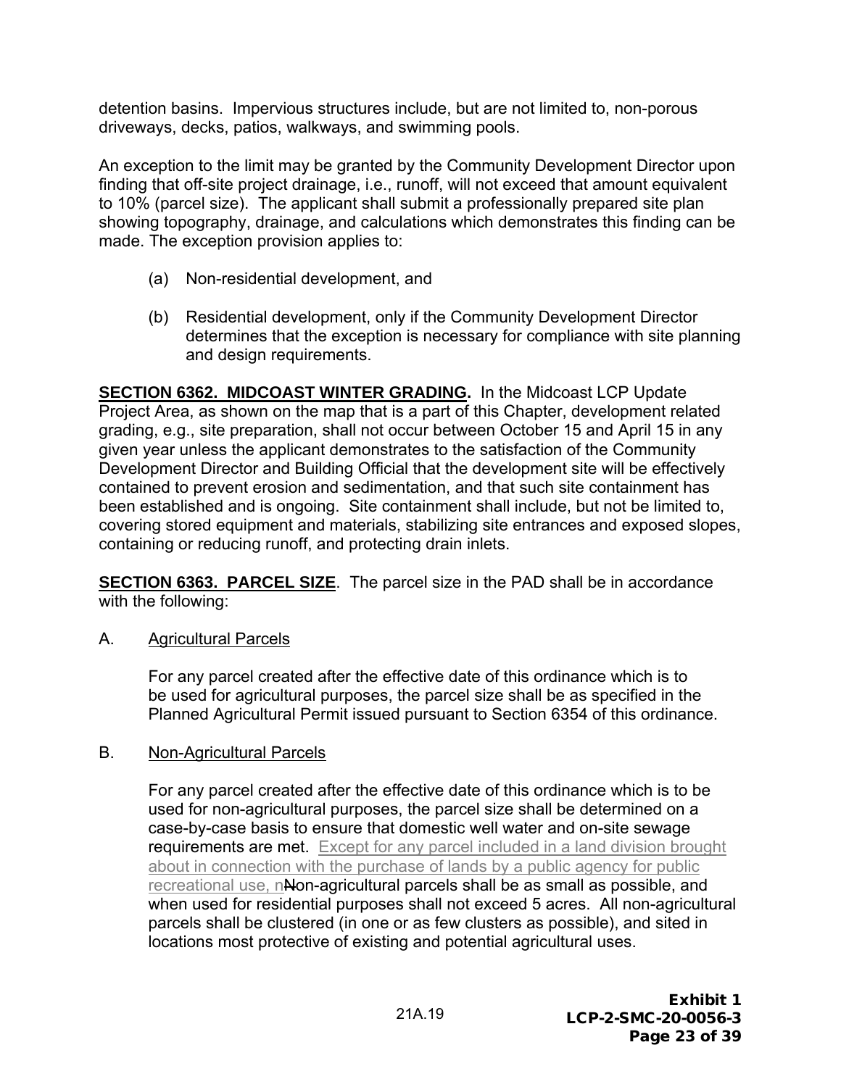detention basins. Impervious structures include, but are not limited to, non-porous driveways, decks, patios, walkways, and swimming pools.

An exception to the limit may be granted by the Community Development Director upon finding that off-site project drainage, i.e., runoff, will not exceed that amount equivalent to 10% (parcel size). The applicant shall submit a professionally prepared site plan showing topography, drainage, and calculations which demonstrates this finding can be made. The exception provision applies to:

- (a) Non-residential development, and
- (b) Residential development, only if the Community Development Director determines that the exception is necessary for compliance with site planning and design requirements.

**SECTION 6362. MIDCOAST WINTER GRADING.** In the Midcoast LCP Update Project Area, as shown on the map that is a part of this Chapter, development related grading, e.g., site preparation, shall not occur between October 15 and April 15 in any given year unless the applicant demonstrates to the satisfaction of the Community Development Director and Building Official that the development site will be effectively contained to prevent erosion and sedimentation, and that such site containment has been established and is ongoing. Site containment shall include, but not be limited to, covering stored equipment and materials, stabilizing site entrances and exposed slopes, containing or reducing runoff, and protecting drain inlets.

**SECTION 6363. PARCEL SIZE**. The parcel size in the PAD shall be in accordance with the following:

A. Agricultural Parcels

For any parcel created after the effective date of this ordinance which is to be used for agricultural purposes, the parcel size shall be as specified in the Planned Agricultural Permit issued pursuant to Section 6354 of this ordinance.

#### B. Non-Agricultural Parcels

For any parcel created after the effective date of this ordinance which is to be used for non-agricultural purposes, the parcel size shall be determined on a case-by-case basis to ensure that domestic well water and on-site sewage requirements are met. Except for any parcel included in a land division brought about in connection with the purchase of lands by a public agency for public recreational use, nNon-agricultural parcels shall be as small as possible, and when used for residential purposes shall not exceed 5 acres. All non-agricultural parcels shall be clustered (in one or as few clusters as possible), and sited in locations most protective of existing and potential agricultural uses.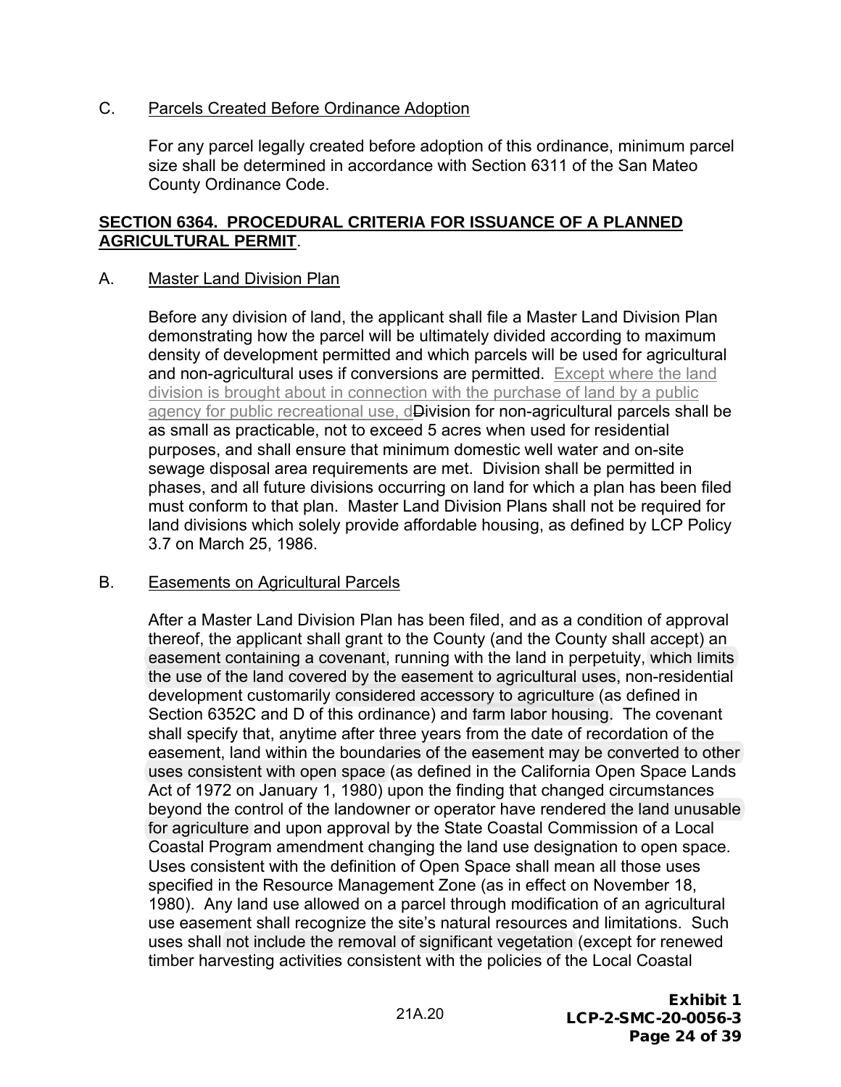#### C. Parcels Created Before Ordinance Adoption

For any parcel legally created before adoption of this ordinance, minimum parcel size shall be determined in accordance with Section 6311 of the San Mateo County Ordinance Code.

#### **SECTION 6364. PROCEDURAL CRITERIA FOR ISSUANCE OF A PLANNED AGRICULTURAL PERMIT**.

#### A. Master Land Division Plan

Before any division of land, the applicant shall file a Master Land Division Plan demonstrating how the parcel will be ultimately divided according to maximum density of development permitted and which parcels will be used for agricultural and non-agricultural uses if conversions are permitted. Except where the land division is brought about in connection with the purchase of land by a public agency for public recreational use, d**Division for non-agricultural parcels shall be** as small as practicable, not to exceed 5 acres when used for residential purposes, and shall ensure that minimum domestic well water and on-site sewage disposal area requirements are met. Division shall be permitted in phases, and all future divisions occurring on land for which a plan has been filed must conform to that plan. Master Land Division Plans shall not be required for land divisions which solely provide affordable housing, as defined by LCP Policy 3.7 on March 25, 1986.

#### B. Easements on Agricultural Parcels

After a Master Land Division Plan has been filed, and as a condition of approval thereof, the applicant shall grant to the County (and the County shall accept) an easement containing a covenant, running with the land in perpetuity, which limits the use of the land covered by the easement to agricultural uses, non-residential easement containing a covenant, running with the land in perpetuity, which li<br>the use of the land covered by the easement to agricultural uses, non-reside<br>development customarily considered accessory to agriculture (as def Section 6352C and D of this ordinance) and farm labor housing. The covenant shall specify that, anytime after three years from the date of recordation of the easement, land within the boundaries of the easement may be converted to other uses consistent with open space (as defined in the California Open Space Lands Act of 1972 on January 1, 1980) upon the finding that changed circumstances beyond the control of the landowner or operator have rendered the land unusable for agriculture and upon approval by the State Coastal Commission of a Local Coastal Program amendment changing the land use designation to open space. Uses consistent with the definition of Open Space shall mean all those uses specified in the Resource Management Zone (as in effect on November 18, 1980). Any land use allowed on a parcel through modification of an agricultural use easement shall recognize the site's natural resources and limitations. Such g uses shall not include the removal of significant vegetation (except for renewed timber harvesting activities consistent with the policies of the Local Coastal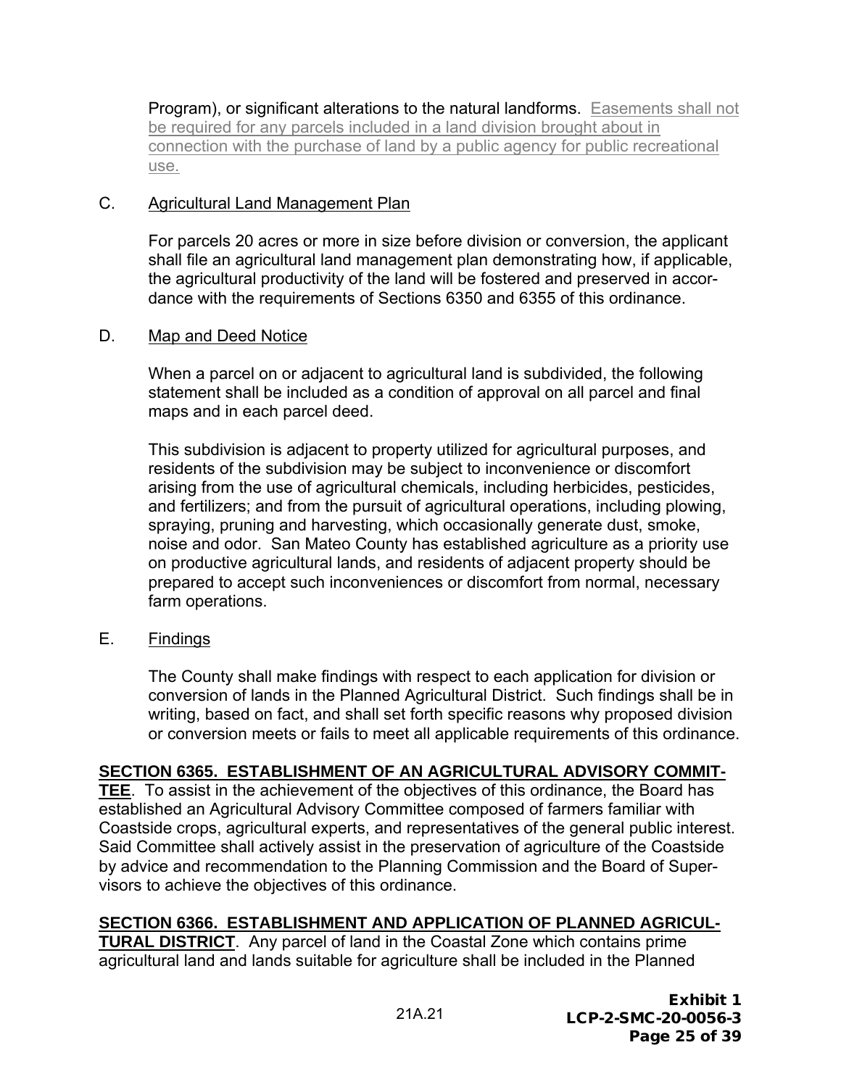Program), or significant alterations to the natural landforms. Easements shall not be required for any parcels included in a land division brought about in connection with the purchase of land by a public agency for public recreational use.

## C. Agricultural Land Management Plan

For parcels 20 acres or more in size before division or conversion, the applicant shall file an agricultural land management plan demonstrating how, if applicable, the agricultural productivity of the land will be fostered and preserved in accordance with the requirements of Sections 6350 and 6355 of this ordinance.

# D. Map and Deed Notice

When a parcel on or adjacent to agricultural land is subdivided, the following statement shall be included as a condition of approval on all parcel and final maps and in each parcel deed.

This subdivision is adjacent to property utilized for agricultural purposes, and residents of the subdivision may be subject to inconvenience or discomfort arising from the use of agricultural chemicals, including herbicides, pesticides, and fertilizers; and from the pursuit of agricultural operations, including plowing, spraying, pruning and harvesting, which occasionally generate dust, smoke, noise and odor. San Mateo County has established agriculture as a priority use on productive agricultural lands, and residents of adjacent property should be prepared to accept such inconveniences or discomfort from normal, necessary farm operations.

E. Findings

The County shall make findings with respect to each application for division or conversion of lands in the Planned Agricultural District. Such findings shall be in writing, based on fact, and shall set forth specific reasons why proposed division or conversion meets or fails to meet all applicable requirements of this ordinance.

# **SECTION 6365. ESTABLISHMENT OF AN AGRICULTURAL ADVISORY COMMIT-**

**TEE**. To assist in the achievement of the objectives of this ordinance, the Board has established an Agricultural Advisory Committee composed of farmers familiar with Coastside crops, agricultural experts, and representatives of the general public interest. Said Committee shall actively assist in the preservation of agriculture of the Coastside by advice and recommendation to the Planning Commission and the Board of Supervisors to achieve the objectives of this ordinance.

# **SECTION 6366. ESTABLISHMENT AND APPLICATION OF PLANNED AGRICUL-**

**TURAL DISTRICT**. Any parcel of land in the Coastal Zone which contains prime agricultural land and lands suitable for agriculture shall be included in the Planned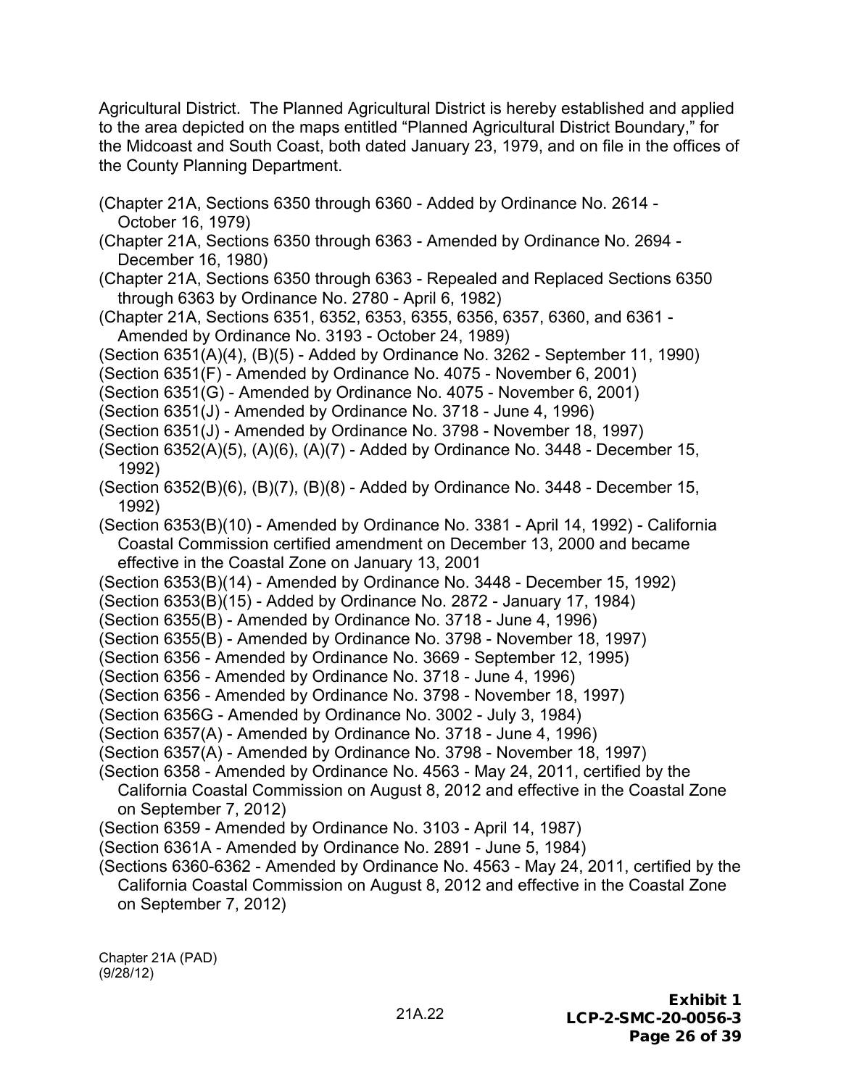Agricultural District. The Planned Agricultural District is hereby established and applied to the area depicted on the maps entitled "Planned Agricultural District Boundary," for the Midcoast and South Coast, both dated January 23, 1979, and on file in the offices of the County Planning Department.

- (Chapter 21A, Sections 6350 through 6360 Added by Ordinance No. 2614 October 16, 1979)
- (Chapter 21A, Sections 6350 through 6363 Amended by Ordinance No. 2694 December 16, 1980)
- (Chapter 21A, Sections 6350 through 6363 Repealed and Replaced Sections 6350 through 6363 by Ordinance No. 2780 - April 6, 1982)
- (Chapter 21A, Sections 6351, 6352, 6353, 6355, 6356, 6357, 6360, and 6361 Amended by Ordinance No. 3193 - October 24, 1989)

(Section 6351(A)(4), (B)(5) - Added by Ordinance No. 3262 - September 11, 1990)

- (Section 6351(F) Amended by Ordinance No. 4075 November 6, 2001)
- (Section 6351(G) Amended by Ordinance No. 4075 November 6, 2001)

(Section 6351(J) - Amended by Ordinance No. 3718 - June 4, 1996)

- (Section 6351(J) Amended by Ordinance No. 3798 November 18, 1997)
- (Section 6352(A)(5), (A)(6), (A)(7) Added by Ordinance No. 3448 December 15, 1992)
- (Section 6352(B)(6), (B)(7), (B)(8) Added by Ordinance No. 3448 December 15, 1992)

(Section 6353(B)(10) - Amended by Ordinance No. 3381 - April 14, 1992) - California Coastal Commission certified amendment on December 13, 2000 and became effective in the Coastal Zone on January 13, 2001

- (Section 6353(B)(14) Amended by Ordinance No. 3448 December 15, 1992)
- (Section 6353(B)(15) Added by Ordinance No. 2872 January 17, 1984)
- (Section 6355(B) Amended by Ordinance No. 3718 June 4, 1996)
- (Section 6355(B) Amended by Ordinance No. 3798 November 18, 1997)
- (Section 6356 Amended by Ordinance No. 3669 September 12, 1995)

(Section 6356 - Amended by Ordinance No. 3718 - June 4, 1996)

- (Section 6356 Amended by Ordinance No. 3798 November 18, 1997)
- (Section 6356G Amended by Ordinance No. 3002 July 3, 1984)
- (Section 6357(A) Amended by Ordinance No. 3718 June 4, 1996)
- (Section 6357(A) Amended by Ordinance No. 3798 November 18, 1997)
- (Section 6358 Amended by Ordinance No. 4563 May 24, 2011, certified by the California Coastal Commission on August 8, 2012 and effective in the Coastal Zone on September 7, 2012)
- (Section 6359 Amended by Ordinance No. 3103 April 14, 1987)
- (Section 6361A Amended by Ordinance No. 2891 June 5, 1984)
- (Sections 6360-6362 Amended by Ordinance No. 4563 May 24, 2011, certified by the California Coastal Commission on August 8, 2012 and effective in the Coastal Zone on September 7, 2012)

Chapter 21A (PAD) (9/28/12)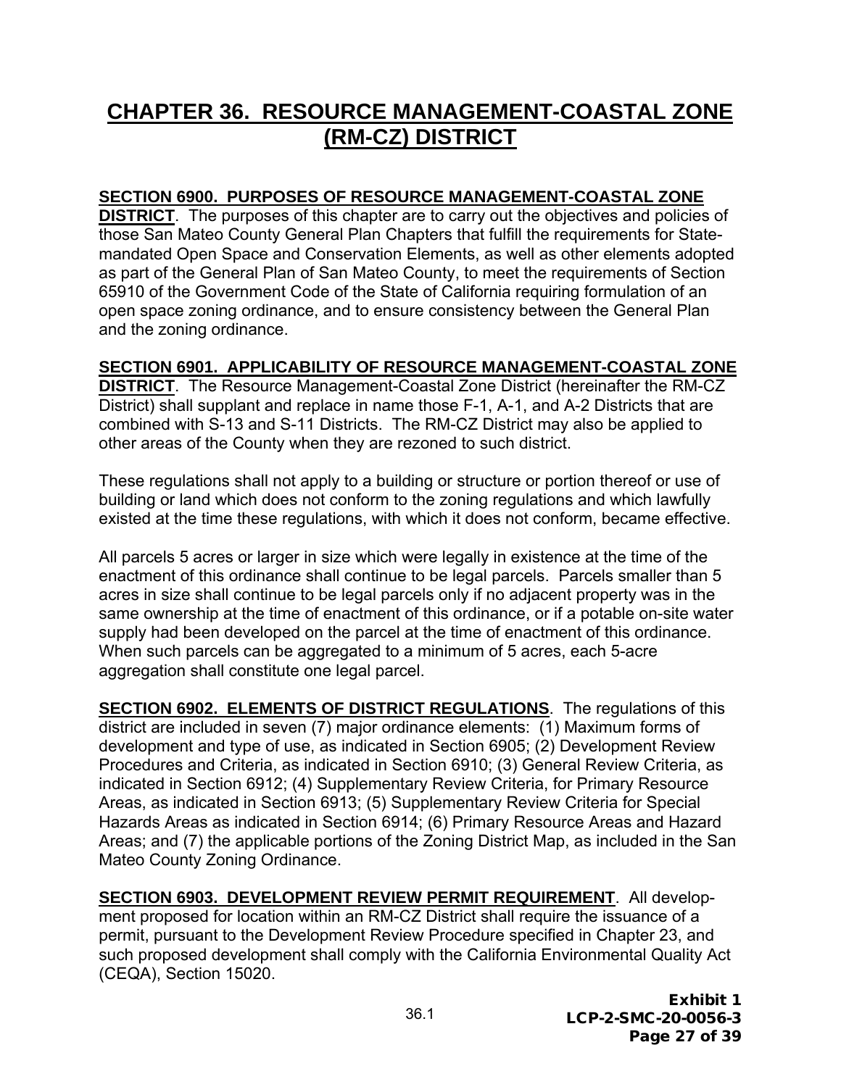# **CHAPTER 36. RESOURCE MANAGEMENT-COASTAL ZONE (RM-CZ) DISTRICT**

## **SECTION 6900. PURPOSES OF RESOURCE MANAGEMENT-COASTAL ZONE**

**DISTRICT**. The purposes of this chapter are to carry out the objectives and policies of those San Mateo County General Plan Chapters that fulfill the requirements for Statemandated Open Space and Conservation Elements, as well as other elements adopted as part of the General Plan of San Mateo County, to meet the requirements of Section 65910 of the Government Code of the State of California requiring formulation of an open space zoning ordinance, and to ensure consistency between the General Plan and the zoning ordinance.

# **SECTION 6901. APPLICABILITY OF RESOURCE MANAGEMENT-COASTAL ZONE**

**DISTRICT**. The Resource Management-Coastal Zone District (hereinafter the RM-CZ District) shall supplant and replace in name those F-1, A-1, and A-2 Districts that are combined with S-13 and S-11 Districts. The RM-CZ District may also be applied to other areas of the County when they are rezoned to such district.

These regulations shall not apply to a building or structure or portion thereof or use of building or land which does not conform to the zoning regulations and which lawfully existed at the time these regulations, with which it does not conform, became effective.

All parcels 5 acres or larger in size which were legally in existence at the time of the enactment of this ordinance shall continue to be legal parcels. Parcels smaller than 5 acres in size shall continue to be legal parcels only if no adjacent property was in the same ownership at the time of enactment of this ordinance, or if a potable on-site water supply had been developed on the parcel at the time of enactment of this ordinance. When such parcels can be aggregated to a minimum of 5 acres, each 5-acre aggregation shall constitute one legal parcel.

**SECTION 6902. ELEMENTS OF DISTRICT REGULATIONS**. The regulations of this district are included in seven (7) major ordinance elements: (1) Maximum forms of development and type of use, as indicated in Section 6905; (2) Development Review Procedures and Criteria, as indicated in Section 6910; (3) General Review Criteria, as indicated in Section 6912; (4) Supplementary Review Criteria, for Primary Resource Areas, as indicated in Section 6913; (5) Supplementary Review Criteria for Special Hazards Areas as indicated in Section 6914; (6) Primary Resource Areas and Hazard Areas; and (7) the applicable portions of the Zoning District Map, as included in the San Mateo County Zoning Ordinance.

**SECTION 6903. DEVELOPMENT REVIEW PERMIT REQUIREMENT**. All development proposed for location within an RM-CZ District shall require the issuance of a permit, pursuant to the Development Review Procedure specified in Chapter 23, and such proposed development shall comply with the California Environmental Quality Act (CEQA), Section 15020.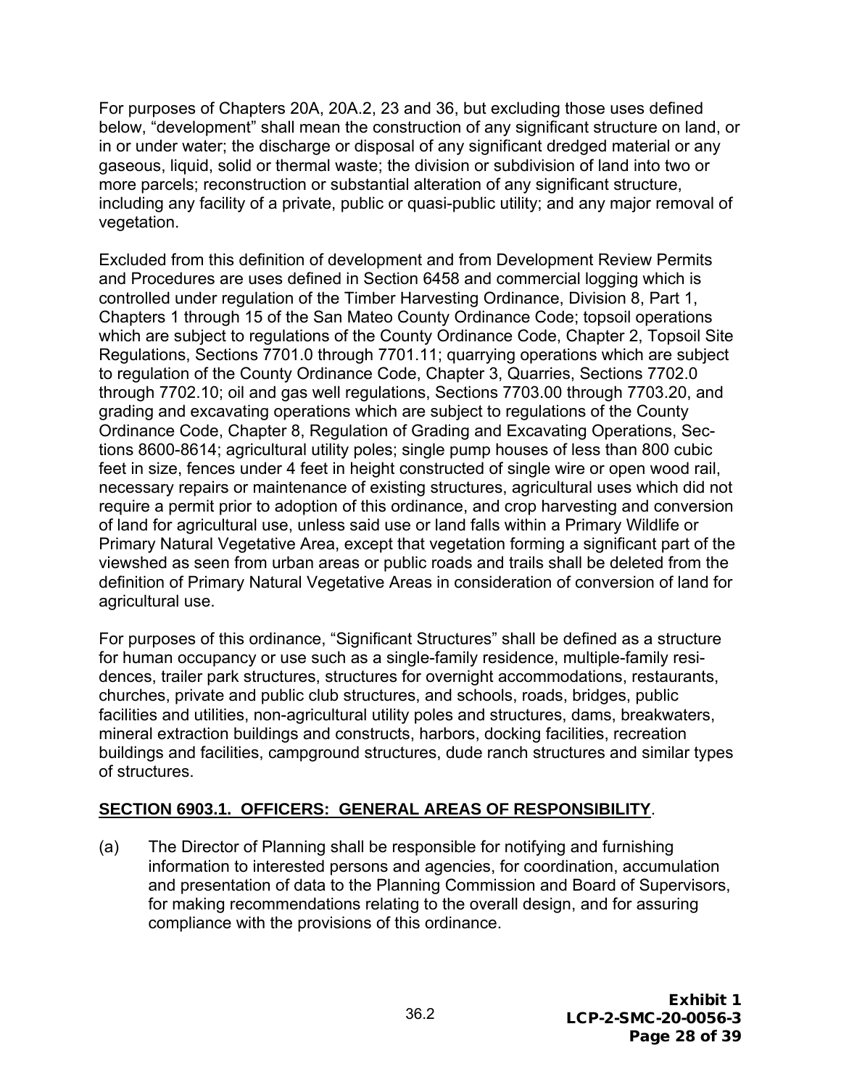For purposes of Chapters 20A, 20A.2, 23 and 36, but excluding those uses defined below, "development" shall mean the construction of any significant structure on land, or in or under water; the discharge or disposal of any significant dredged material or any gaseous, liquid, solid or thermal waste; the division or subdivision of land into two or more parcels; reconstruction or substantial alteration of any significant structure, including any facility of a private, public or quasi-public utility; and any major removal of vegetation.

Excluded from this definition of development and from Development Review Permits and Procedures are uses defined in Section 6458 and commercial logging which is controlled under regulation of the Timber Harvesting Ordinance, Division 8, Part 1, Chapters 1 through 15 of the San Mateo County Ordinance Code; topsoil operations which are subject to regulations of the County Ordinance Code, Chapter 2, Topsoil Site Regulations, Sections 7701.0 through 7701.11; quarrying operations which are subject to regulation of the County Ordinance Code, Chapter 3, Quarries, Sections 7702.0 through 7702.10; oil and gas well regulations, Sections 7703.00 through 7703.20, and grading and excavating operations which are subject to regulations of the County Ordinance Code, Chapter 8, Regulation of Grading and Excavating Operations, Sections 8600-8614; agricultural utility poles; single pump houses of less than 800 cubic feet in size, fences under 4 feet in height constructed of single wire or open wood rail, necessary repairs or maintenance of existing structures, agricultural uses which did not require a permit prior to adoption of this ordinance, and crop harvesting and conversion of land for agricultural use, unless said use or land falls within a Primary Wildlife or Primary Natural Vegetative Area, except that vegetation forming a significant part of the viewshed as seen from urban areas or public roads and trails shall be deleted from the definition of Primary Natural Vegetative Areas in consideration of conversion of land for agricultural use.

For purposes of this ordinance, "Significant Structures" shall be defined as a structure for human occupancy or use such as a single-family residence, multiple-family residences, trailer park structures, structures for overnight accommodations, restaurants, churches, private and public club structures, and schools, roads, bridges, public facilities and utilities, non-agricultural utility poles and structures, dams, breakwaters, mineral extraction buildings and constructs, harbors, docking facilities, recreation buildings and facilities, campground structures, dude ranch structures and similar types of structures.

# **SECTION 6903.1. OFFICERS: GENERAL AREAS OF RESPONSIBILITY**.

(a) The Director of Planning shall be responsible for notifying and furnishing information to interested persons and agencies, for coordination, accumulation and presentation of data to the Planning Commission and Board of Supervisors, for making recommendations relating to the overall design, and for assuring compliance with the provisions of this ordinance.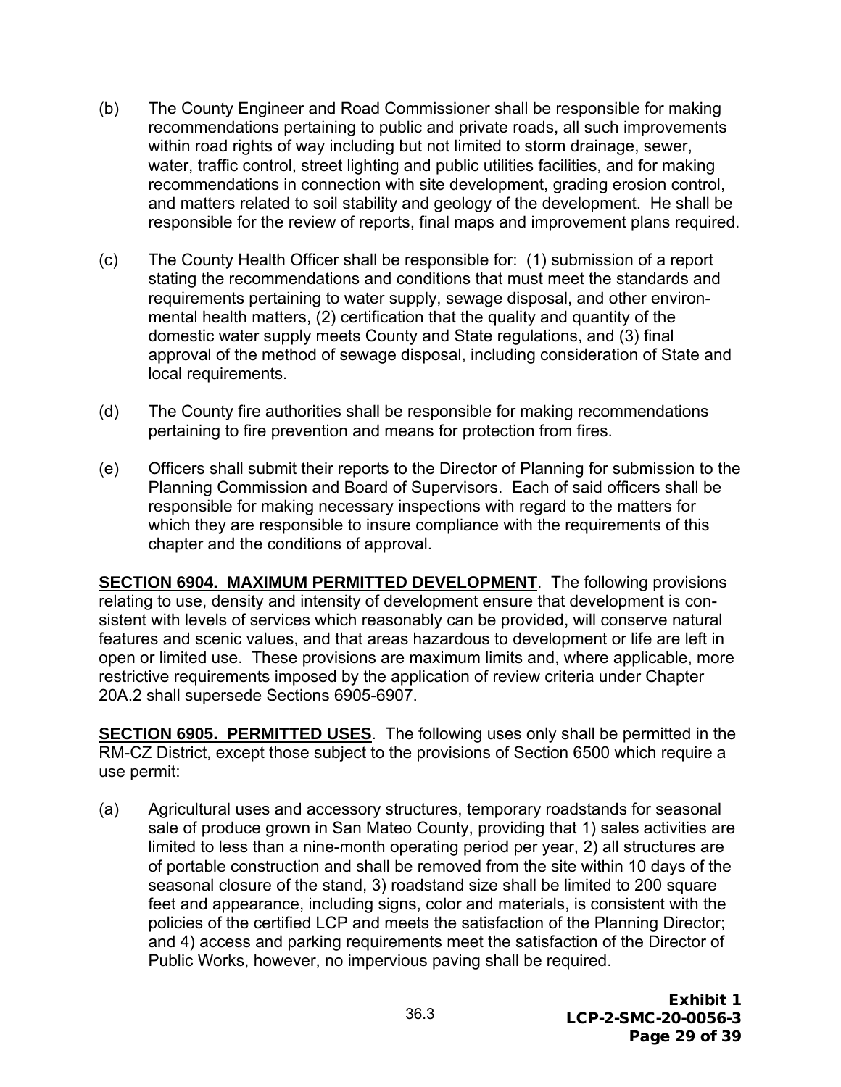- (b) The County Engineer and Road Commissioner shall be responsible for making recommendations pertaining to public and private roads, all such improvements within road rights of way including but not limited to storm drainage, sewer, water, traffic control, street lighting and public utilities facilities, and for making recommendations in connection with site development, grading erosion control, and matters related to soil stability and geology of the development. He shall be responsible for the review of reports, final maps and improvement plans required.
- (c) The County Health Officer shall be responsible for: (1) submission of a report stating the recommendations and conditions that must meet the standards and requirements pertaining to water supply, sewage disposal, and other environmental health matters, (2) certification that the quality and quantity of the domestic water supply meets County and State regulations, and (3) final approval of the method of sewage disposal, including consideration of State and local requirements.
- (d) The County fire authorities shall be responsible for making recommendations pertaining to fire prevention and means for protection from fires.
- (e) Officers shall submit their reports to the Director of Planning for submission to the Planning Commission and Board of Supervisors. Each of said officers shall be responsible for making necessary inspections with regard to the matters for which they are responsible to insure compliance with the requirements of this chapter and the conditions of approval.

**SECTION 6904. MAXIMUM PERMITTED DEVELOPMENT**. The following provisions relating to use, density and intensity of development ensure that development is consistent with levels of services which reasonably can be provided, will conserve natural features and scenic values, and that areas hazardous to development or life are left in open or limited use. These provisions are maximum limits and, where applicable, more restrictive requirements imposed by the application of review criteria under Chapter 20A.2 shall supersede Sections 6905-6907.

**SECTION 6905. PERMITTED USES**. The following uses only shall be permitted in the RM-CZ District, except those subject to the provisions of Section 6500 which require a use permit:

(a) Agricultural uses and accessory structures, temporary roadstands for seasonal sale of produce grown in San Mateo County, providing that 1) sales activities are limited to less than a nine-month operating period per year, 2) all structures are of portable construction and shall be removed from the site within 10 days of the seasonal closure of the stand, 3) roadstand size shall be limited to 200 square feet and appearance, including signs, color and materials, is consistent with the policies of the certified LCP and meets the satisfaction of the Planning Director; and 4) access and parking requirements meet the satisfaction of the Director of Public Works, however, no impervious paving shall be required.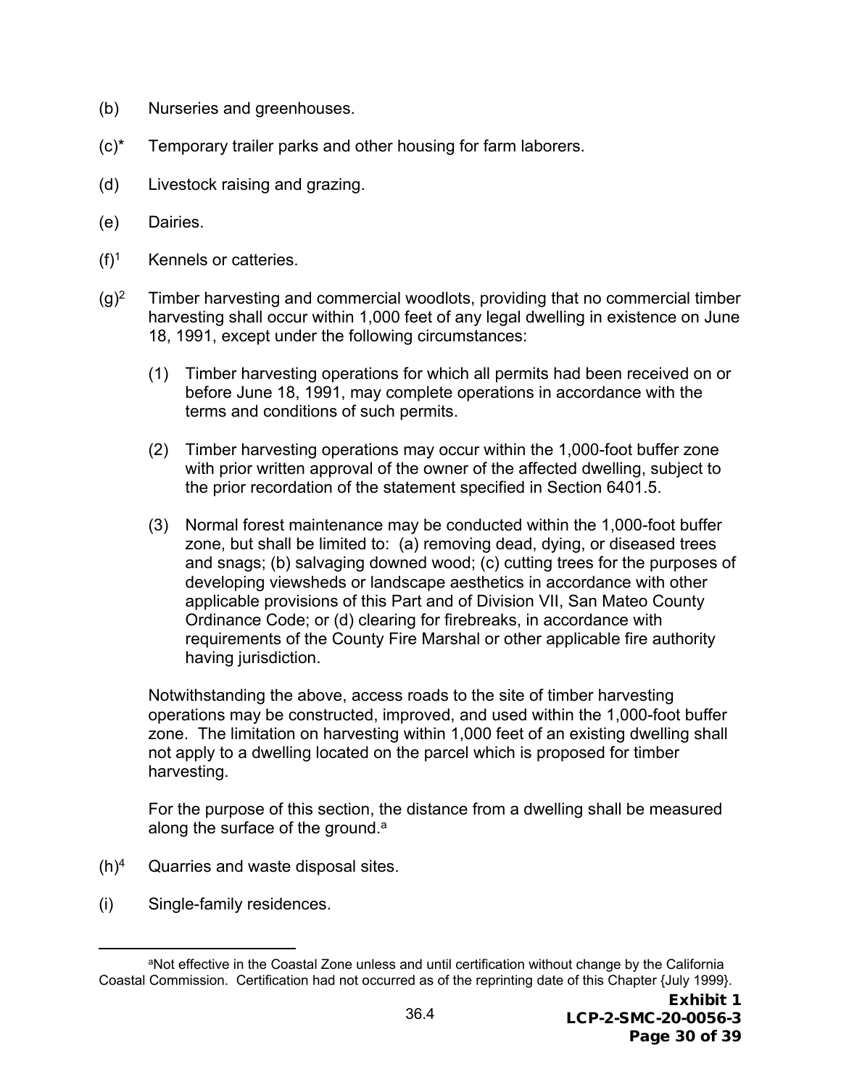- (b) Nurseries and greenhouses.
- (c)\* Temporary trailer parks and other housing for farm laborers.
- (d) Livestock raising and grazing.
- (e) Dairies.
- $(f)^1$  Kennels or catteries.
- $(q)^2$  Timber harvesting and commercial woodlots, providing that no commercial timber harvesting shall occur within 1,000 feet of any legal dwelling in existence on June 18, 1991, except under the following circumstances:
	- (1) Timber harvesting operations for which all permits had been received on or before June 18, 1991, may complete operations in accordance with the terms and conditions of such permits.
	- (2) Timber harvesting operations may occur within the 1,000-foot buffer zone with prior written approval of the owner of the affected dwelling, subject to the prior recordation of the statement specified in Section 6401.5.
	- (3) Normal forest maintenance may be conducted within the 1,000-foot buffer zone, but shall be limited to: (a) removing dead, dying, or diseased trees and snags; (b) salvaging downed wood; (c) cutting trees for the purposes of developing viewsheds or landscape aesthetics in accordance with other applicable provisions of this Part and of Division VII, San Mateo County Ordinance Code; or (d) clearing for firebreaks, in accordance with requirements of the County Fire Marshal or other applicable fire authority having jurisdiction.

Notwithstanding the above, access roads to the site of timber harvesting operations may be constructed, improved, and used within the 1,000-foot buffer zone. The limitation on harvesting within 1,000 feet of an existing dwelling shall not apply to a dwelling located on the parcel which is proposed for timber harvesting.

For the purpose of this section, the distance from a dwelling shall be measured along the surface of the ground.<sup>a</sup>

- $(h)^4$  Quarries and waste disposal sites.
- (i) Single-family residences.

aNot effective in the Coastal Zone unless and until certification without change by the California Coastal Commission. Certification had not occurred as of the reprinting date of this Chapter {July 1999}.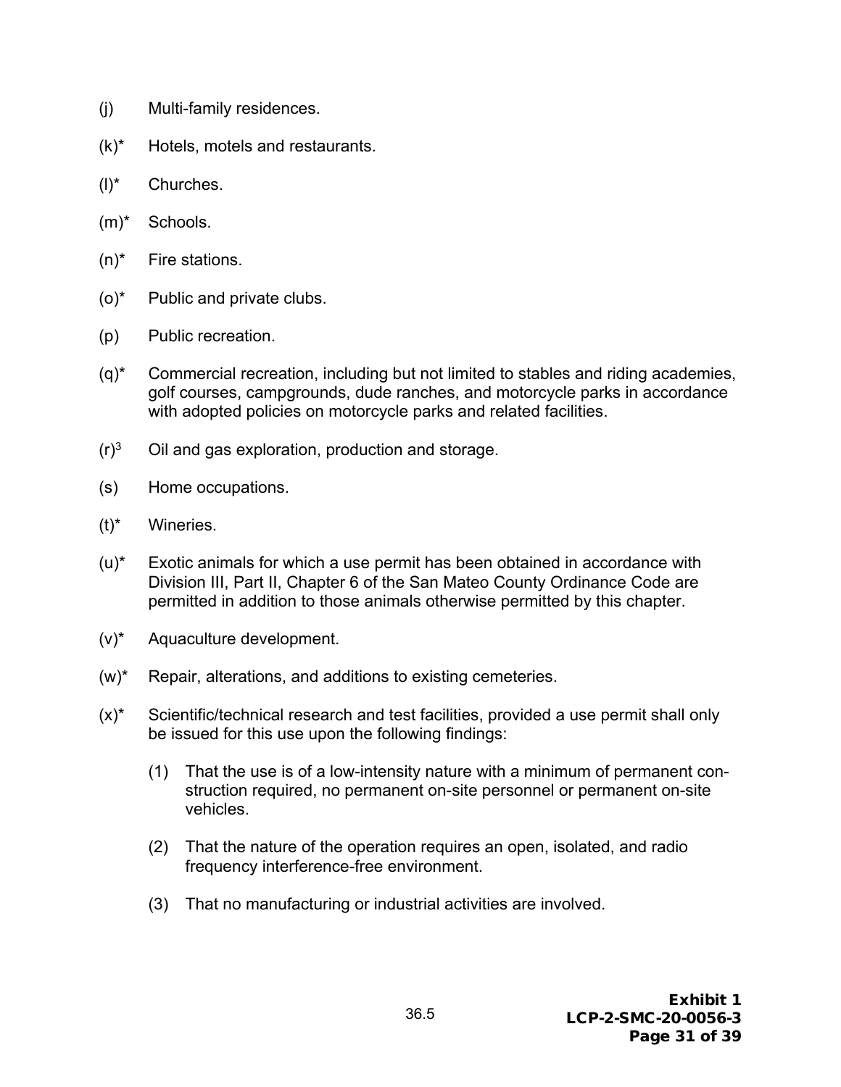- (j) Multi-family residences.
- (k)\* Hotels, motels and restaurants.
- (l)\* Churches.
- (m)\* Schools.
- (n)\* Fire stations.
- (o)\* Public and private clubs.
- (p) Public recreation.
- (q)\* Commercial recreation, including but not limited to stables and riding academies, golf courses, campgrounds, dude ranches, and motorcycle parks in accordance with adopted policies on motorcycle parks and related facilities.
- $(r)<sup>3</sup>$  Oil and gas exploration, production and storage.
- (s) Home occupations.
- (t)\* Wineries.
- (u)\* Exotic animals for which a use permit has been obtained in accordance with Division III, Part II, Chapter 6 of the San Mateo County Ordinance Code are permitted in addition to those animals otherwise permitted by this chapter.
- (v)\* Aquaculture development.
- (w)\* Repair, alterations, and additions to existing cemeteries.
- $(x)^*$  Scientific/technical research and test facilities, provided a use permit shall only be issued for this use upon the following findings:
	- (1) That the use is of a low-intensity nature with a minimum of permanent construction required, no permanent on-site personnel or permanent on-site vehicles.
	- (2) That the nature of the operation requires an open, isolated, and radio frequency interference-free environment.
	- (3) That no manufacturing or industrial activities are involved.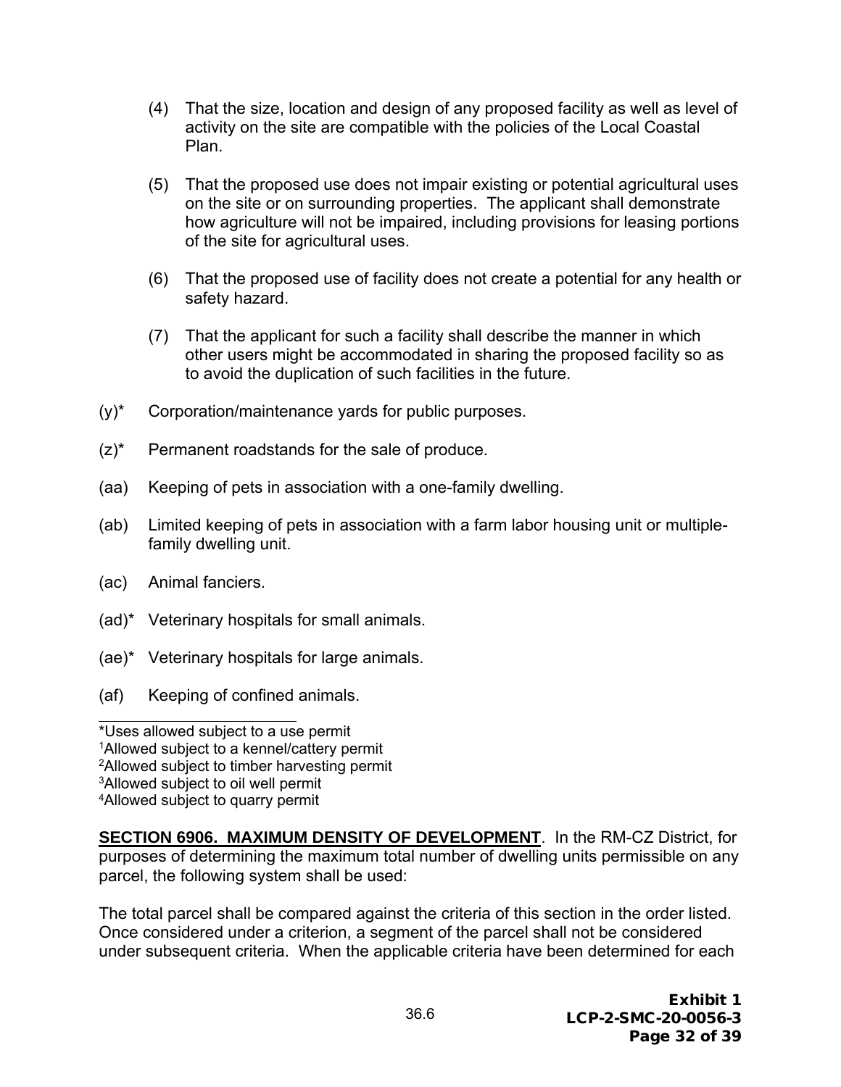- (4) That the size, location and design of any proposed facility as well as level of activity on the site are compatible with the policies of the Local Coastal Plan.
- (5) That the proposed use does not impair existing or potential agricultural uses on the site or on surrounding properties. The applicant shall demonstrate how agriculture will not be impaired, including provisions for leasing portions of the site for agricultural uses.
- (6) That the proposed use of facility does not create a potential for any health or safety hazard.
- (7) That the applicant for such a facility shall describe the manner in which other users might be accommodated in sharing the proposed facility so as to avoid the duplication of such facilities in the future.
- (y)\* Corporation/maintenance yards for public purposes.
- (z)\* Permanent roadstands for the sale of produce.
- (aa) Keeping of pets in association with a one-family dwelling.
- (ab) Limited keeping of pets in association with a farm labor housing unit or multiplefamily dwelling unit.
- (ac) Animal fanciers.
- (ad)\* Veterinary hospitals for small animals.
- (ae)\* Veterinary hospitals for large animals.
- (af) Keeping of confined animals.

\*Uses allowed subject to a use permit 1Allowed subject to a kennel/cattery permit 2Allowed subject to timber harvesting permit 3Allowed subject to oil well permit 4Allowed subject to quarry permit

**SECTION 6906. MAXIMUM DENSITY OF DEVELOPMENT.** In the RM-CZ District, for purposes of determining the maximum total number of dwelling units permissible on any parcel, the following system shall be used:

The total parcel shall be compared against the criteria of this section in the order listed. Once considered under a criterion, a segment of the parcel shall not be considered under subsequent criteria. When the applicable criteria have been determined for each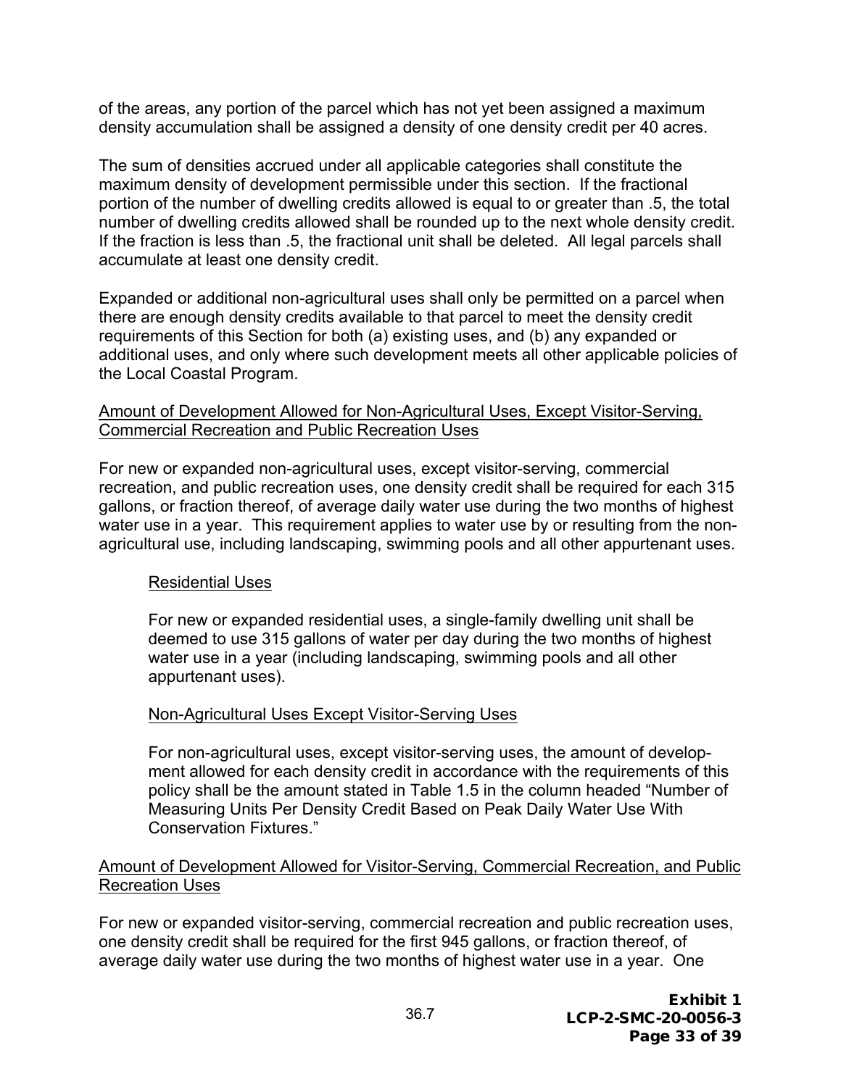of the areas, any portion of the parcel which has not yet been assigned a maximum density accumulation shall be assigned a density of one density credit per 40 acres.

The sum of densities accrued under all applicable categories shall constitute the maximum density of development permissible under this section. If the fractional portion of the number of dwelling credits allowed is equal to or greater than .5, the total number of dwelling credits allowed shall be rounded up to the next whole density credit. If the fraction is less than .5, the fractional unit shall be deleted. All legal parcels shall accumulate at least one density credit.

Expanded or additional non-agricultural uses shall only be permitted on a parcel when there are enough density credits available to that parcel to meet the density credit requirements of this Section for both (a) existing uses, and (b) any expanded or additional uses, and only where such development meets all other applicable policies of the Local Coastal Program.

#### Amount of Development Allowed for Non-Agricultural Uses, Except Visitor-Serving, Commercial Recreation and Public Recreation Uses

For new or expanded non-agricultural uses, except visitor-serving, commercial recreation, and public recreation uses, one density credit shall be required for each 315 gallons, or fraction thereof, of average daily water use during the two months of highest water use in a year. This requirement applies to water use by or resulting from the nonagricultural use, including landscaping, swimming pools and all other appurtenant uses.

#### Residential Uses

For new or expanded residential uses, a single-family dwelling unit shall be deemed to use 315 gallons of water per day during the two months of highest water use in a year (including landscaping, swimming pools and all other appurtenant uses).

#### Non-Agricultural Uses Except Visitor-Serving Uses

For non-agricultural uses, except visitor-serving uses, the amount of development allowed for each density credit in accordance with the requirements of this policy shall be the amount stated in Table 1.5 in the column headed "Number of Measuring Units Per Density Credit Based on Peak Daily Water Use With Conservation Fixtures."

#### Amount of Development Allowed for Visitor-Serving, Commercial Recreation, and Public Recreation Uses

For new or expanded visitor-serving, commercial recreation and public recreation uses, one density credit shall be required for the first 945 gallons, or fraction thereof, of average daily water use during the two months of highest water use in a year. One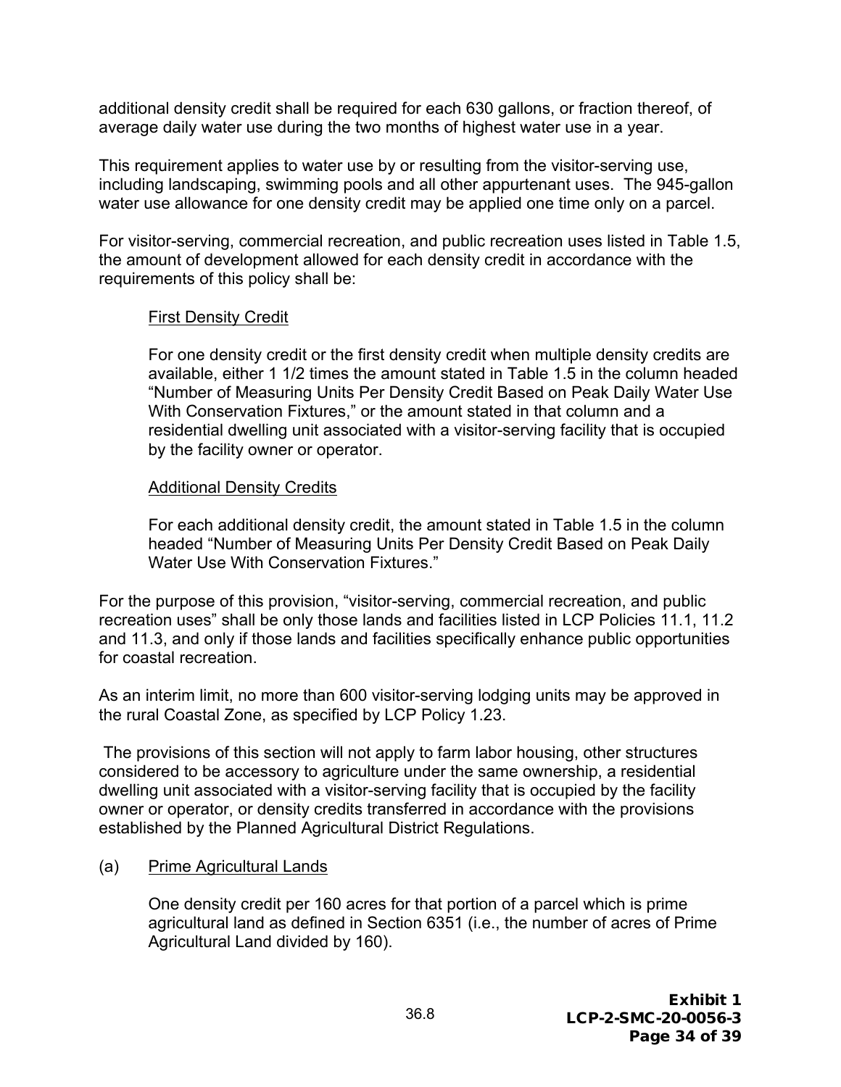additional density credit shall be required for each 630 gallons, or fraction thereof, of average daily water use during the two months of highest water use in a year.

This requirement applies to water use by or resulting from the visitor-serving use, including landscaping, swimming pools and all other appurtenant uses. The 945-gallon water use allowance for one density credit may be applied one time only on a parcel.

For visitor-serving, commercial recreation, and public recreation uses listed in Table 1.5, the amount of development allowed for each density credit in accordance with the requirements of this policy shall be:

#### First Density Credit

For one density credit or the first density credit when multiple density credits are available, either 1 1/2 times the amount stated in Table 1.5 in the column headed "Number of Measuring Units Per Density Credit Based on Peak Daily Water Use With Conservation Fixtures," or the amount stated in that column and a residential dwelling unit associated with a visitor-serving facility that is occupied by the facility owner or operator.

#### Additional Density Credits

For each additional density credit, the amount stated in Table 1.5 in the column headed "Number of Measuring Units Per Density Credit Based on Peak Daily Water Use With Conservation Fixtures."

For the purpose of this provision, "visitor-serving, commercial recreation, and public recreation uses" shall be only those lands and facilities listed in LCP Policies 11.1, 11.2 and 11.3, and only if those lands and facilities specifically enhance public opportunities for coastal recreation.

As an interim limit, no more than 600 visitor-serving lodging units may be approved in the rural Coastal Zone, as specified by LCP Policy 1.23.

 The provisions of this section will not apply to farm labor housing, other structures considered to be accessory to agriculture under the same ownership, a residential dwelling unit associated with a visitor-serving facility that is occupied by the facility owner or operator, or density credits transferred in accordance with the provisions established by the Planned Agricultural District Regulations.

#### (a) Prime Agricultural Lands

One density credit per 160 acres for that portion of a parcel which is prime agricultural land as defined in Section 6351 (i.e., the number of acres of Prime Agricultural Land divided by 160).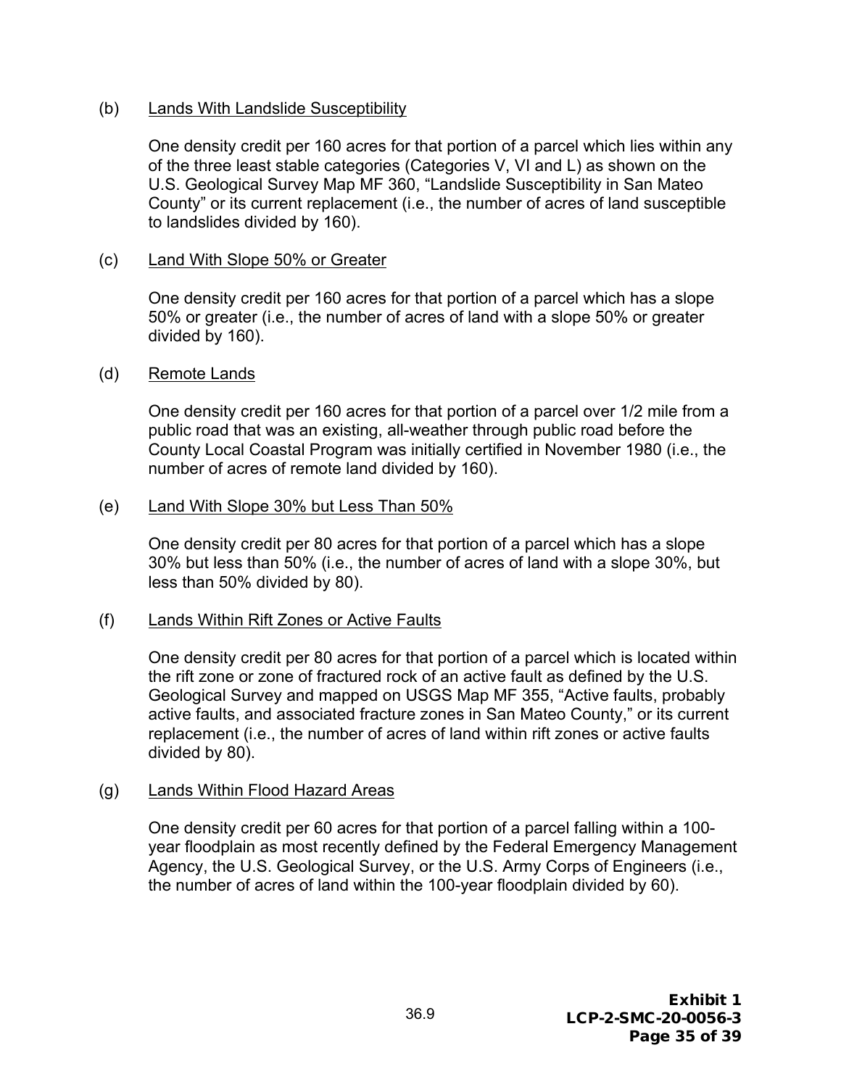#### (b) Lands With Landslide Susceptibility

One density credit per 160 acres for that portion of a parcel which lies within any of the three least stable categories (Categories V, VI and L) as shown on the U.S. Geological Survey Map MF 360, "Landslide Susceptibility in San Mateo County" or its current replacement (i.e., the number of acres of land susceptible to landslides divided by 160).

#### (c) Land With Slope 50% or Greater

One density credit per 160 acres for that portion of a parcel which has a slope 50% or greater (i.e., the number of acres of land with a slope 50% or greater divided by 160).

#### (d) Remote Lands

One density credit per 160 acres for that portion of a parcel over 1/2 mile from a public road that was an existing, all-weather through public road before the County Local Coastal Program was initially certified in November 1980 (i.e., the number of acres of remote land divided by 160).

#### (e) Land With Slope 30% but Less Than 50%

One density credit per 80 acres for that portion of a parcel which has a slope 30% but less than 50% (i.e., the number of acres of land with a slope 30%, but less than 50% divided by 80).

#### (f) Lands Within Rift Zones or Active Faults

One density credit per 80 acres for that portion of a parcel which is located within the rift zone or zone of fractured rock of an active fault as defined by the U.S. Geological Survey and mapped on USGS Map MF 355, "Active faults, probably active faults, and associated fracture zones in San Mateo County," or its current replacement (i.e., the number of acres of land within rift zones or active faults divided by 80).

#### (g) Lands Within Flood Hazard Areas

One density credit per 60 acres for that portion of a parcel falling within a 100 year floodplain as most recently defined by the Federal Emergency Management Agency, the U.S. Geological Survey, or the U.S. Army Corps of Engineers (i.e., the number of acres of land within the 100-year floodplain divided by 60).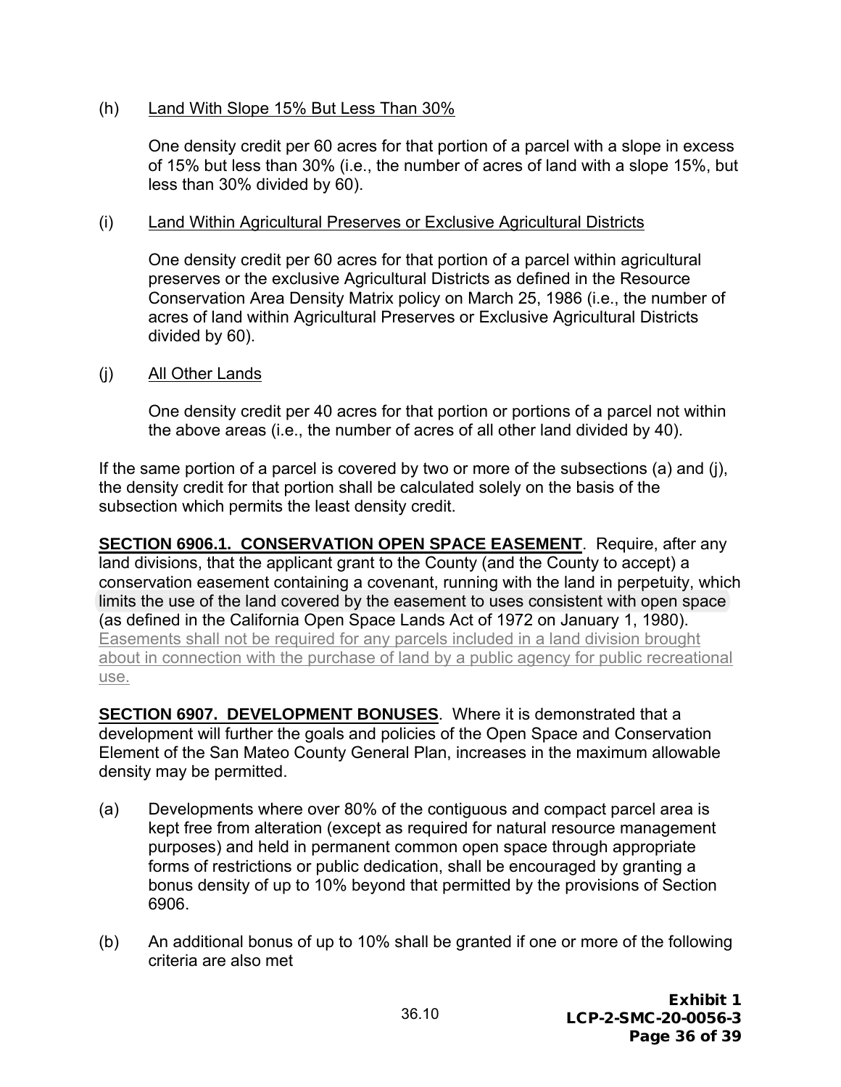#### (h) Land With Slope 15% But Less Than 30%

One density credit per 60 acres for that portion of a parcel with a slope in excess of 15% but less than 30% (i.e., the number of acres of land with a slope 15%, but less than 30% divided by 60).

#### (i) Land Within Agricultural Preserves or Exclusive Agricultural Districts

One density credit per 60 acres for that portion of a parcel within agricultural preserves or the exclusive Agricultural Districts as defined in the Resource Conservation Area Density Matrix policy on March 25, 1986 (i.e., the number of acres of land within Agricultural Preserves or Exclusive Agricultural Districts divided by 60).

#### (j) All Other Lands

One density credit per 40 acres for that portion or portions of a parcel not within the above areas (i.e., the number of acres of all other land divided by 40).

If the same portion of a parcel is covered by two or more of the subsections (a) and (j), the density credit for that portion shall be calculated solely on the basis of the subsection which permits the least density credit.

**SECTION 6906.1. CONSERVATION OPEN SPACE EASEMENT**. Require, after any land divisions, that the applicant grant to the County (and the County to accept) a conservation easement containing a covenant, running with the land in perpetuity, which limits the use of the land covered by the easement to uses consistent with open space (as defined in the California Open Space Lands Act of 1972 on January 1, 1980). Easements shall not be required for any parcels included in a land division brought about in connection with the purchase of land by a public agency for public recreational use.

**SECTION 6907. DEVELOPMENT BONUSES**. Where it is demonstrated that a development will further the goals and policies of the Open Space and Conservation Element of the San Mateo County General Plan, increases in the maximum allowable density may be permitted.

- (a) Developments where over 80% of the contiguous and compact parcel area is kept free from alteration (except as required for natural resource management purposes) and held in permanent common open space through appropriate forms of restrictions or public dedication, shall be encouraged by granting a bonus density of up to 10% beyond that permitted by the provisions of Section 6906.
- (b) An additional bonus of up to 10% shall be granted if one or more of the following criteria are also met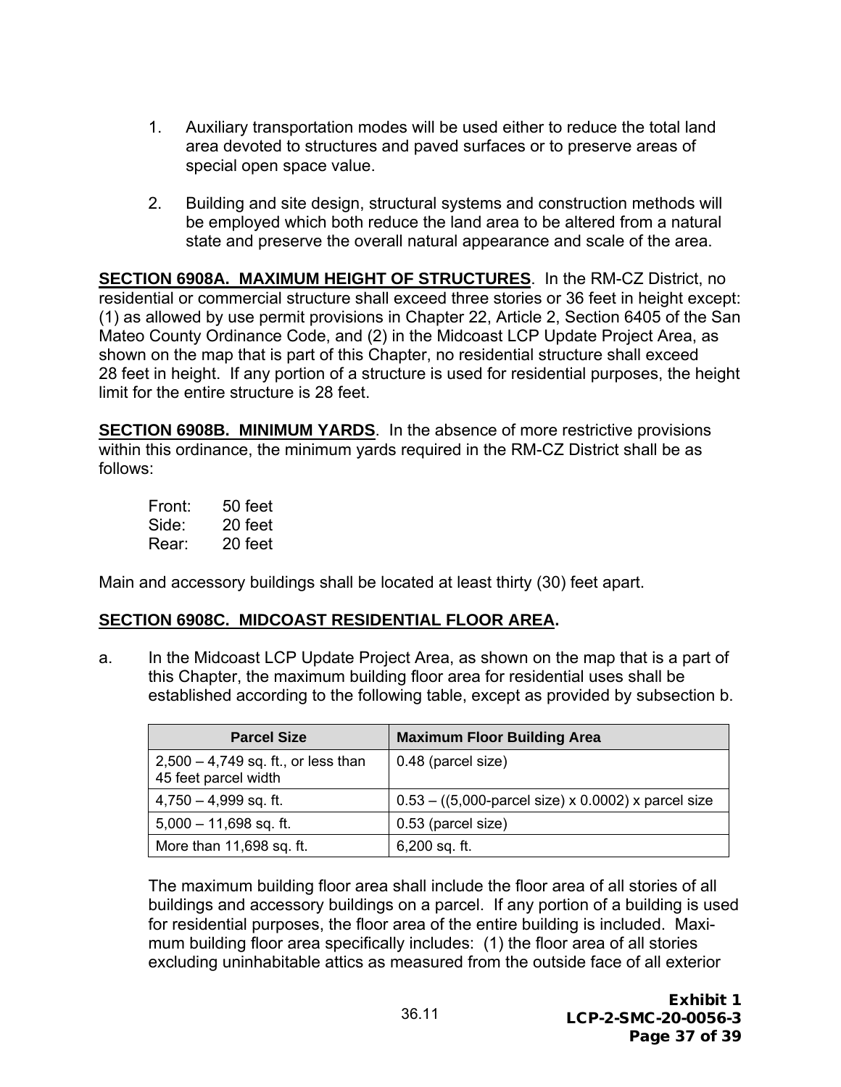- 1. Auxiliary transportation modes will be used either to reduce the total land area devoted to structures and paved surfaces or to preserve areas of special open space value.
- 2. Building and site design, structural systems and construction methods will be employed which both reduce the land area to be altered from a natural state and preserve the overall natural appearance and scale of the area.

**SECTION 6908A. MAXIMUM HEIGHT OF STRUCTURES**. In the RM-CZ District, no residential or commercial structure shall exceed three stories or 36 feet in height except: (1) as allowed by use permit provisions in Chapter 22, Article 2, Section 6405 of the San Mateo County Ordinance Code, and (2) in the Midcoast LCP Update Project Area, as shown on the map that is part of this Chapter, no residential structure shall exceed 28 feet in height. If any portion of a structure is used for residential purposes, the height limit for the entire structure is 28 feet.

**SECTION 6908B. MINIMUM YARDS**. In the absence of more restrictive provisions within this ordinance, the minimum yards required in the RM-CZ District shall be as follows:

| Front: | $50$ feet |
|--------|-----------|
| Side:  | 20 feet   |
| Rear:  | 20 feet   |

Main and accessory buildings shall be located at least thirty (30) feet apart.

#### **SECTION 6908C. MIDCOAST RESIDENTIAL FLOOR AREA.**

a. In the Midcoast LCP Update Project Area, as shown on the map that is a part of this Chapter, the maximum building floor area for residential uses shall be established according to the following table, except as provided by subsection b.

| <b>Parcel Size</b>                                            | <b>Maximum Floor Building Area</b>                                     |
|---------------------------------------------------------------|------------------------------------------------------------------------|
| $2,500 - 4,749$ sq. ft., or less than<br>45 feet parcel width | 0.48 (parcel size)                                                     |
| $4,750 - 4,999$ sq. ft.                                       | $0.53 - ((5,000\text{-}parcel size) \times 0.0002) \times parcel size$ |
| $5,000 - 11,698$ sq. ft.                                      | 0.53 (parcel size)                                                     |
| More than 11,698 sq. ft.                                      | $6,200$ sq. ft.                                                        |

The maximum building floor area shall include the floor area of all stories of all buildings and accessory buildings on a parcel. If any portion of a building is used for residential purposes, the floor area of the entire building is included. Maximum building floor area specifically includes: (1) the floor area of all stories excluding uninhabitable attics as measured from the outside face of all exterior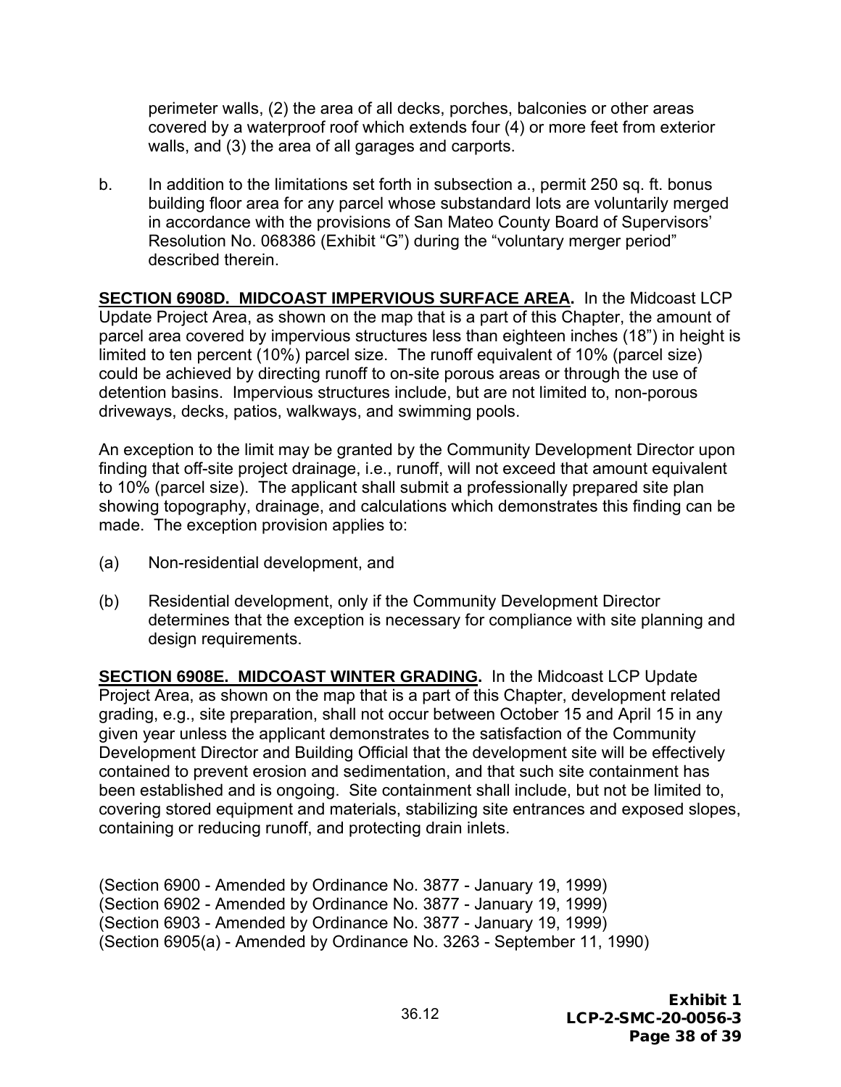perimeter walls, (2) the area of all decks, porches, balconies or other areas covered by a waterproof roof which extends four (4) or more feet from exterior walls, and (3) the area of all garages and carports.

b. In addition to the limitations set forth in subsection a., permit 250 sq. ft. bonus building floor area for any parcel whose substandard lots are voluntarily merged in accordance with the provisions of San Mateo County Board of Supervisors' Resolution No. 068386 (Exhibit "G") during the "voluntary merger period" described therein.

**SECTION 6908D. MIDCOAST IMPERVIOUS SURFACE AREA.** In the Midcoast LCP Update Project Area, as shown on the map that is a part of this Chapter, the amount of parcel area covered by impervious structures less than eighteen inches (18") in height is limited to ten percent (10%) parcel size. The runoff equivalent of 10% (parcel size) could be achieved by directing runoff to on-site porous areas or through the use of detention basins. Impervious structures include, but are not limited to, non-porous driveways, decks, patios, walkways, and swimming pools.

An exception to the limit may be granted by the Community Development Director upon finding that off-site project drainage, i.e., runoff, will not exceed that amount equivalent to 10% (parcel size). The applicant shall submit a professionally prepared site plan showing topography, drainage, and calculations which demonstrates this finding can be made. The exception provision applies to:

- (a) Non-residential development, and
- (b) Residential development, only if the Community Development Director determines that the exception is necessary for compliance with site planning and design requirements.

**SECTION 6908E. MIDCOAST WINTER GRADING.** In the Midcoast LCP Update Project Area, as shown on the map that is a part of this Chapter, development related grading, e.g., site preparation, shall not occur between October 15 and April 15 in any given year unless the applicant demonstrates to the satisfaction of the Community Development Director and Building Official that the development site will be effectively contained to prevent erosion and sedimentation, and that such site containment has been established and is ongoing. Site containment shall include, but not be limited to, covering stored equipment and materials, stabilizing site entrances and exposed slopes, containing or reducing runoff, and protecting drain inlets.

(Section 6900 - Amended by Ordinance No. 3877 - January 19, 1999) (Section 6902 - Amended by Ordinance No. 3877 - January 19, 1999) (Section 6903 - Amended by Ordinance No. 3877 - January 19, 1999) (Section 6905(a) - Amended by Ordinance No. 3263 - September 11, 1990)